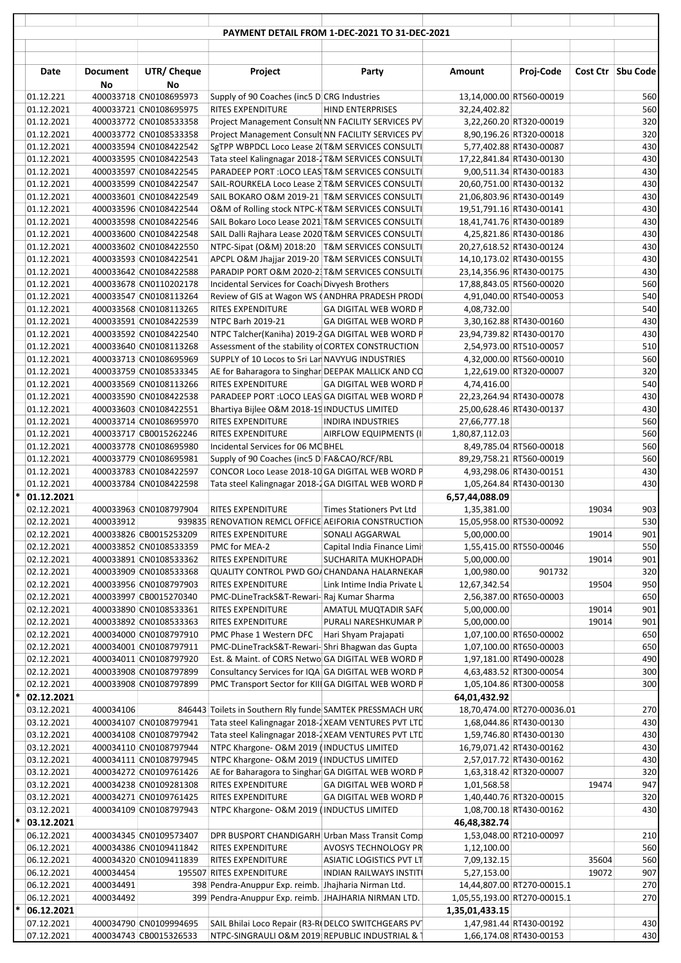|   |                          |                 |                                                  |                                                                                                          | PAYMENT DETAIL FROM 1-DEC-2021 TO 31-DEC-2021     |                |                                                      |       |                   |
|---|--------------------------|-----------------|--------------------------------------------------|----------------------------------------------------------------------------------------------------------|---------------------------------------------------|----------------|------------------------------------------------------|-------|-------------------|
|   | Date                     | <b>Document</b> | UTR/ Cheque                                      | Project                                                                                                  | Party                                             | <b>Amount</b>  | Proj-Code                                            |       | Cost Ctr Sbu Code |
|   |                          | No              | No                                               |                                                                                                          |                                                   |                |                                                      |       |                   |
|   | 01.12.221                |                 | 400033718 CN0108695973                           | Supply of 90 Coaches (inc5 D CRG Industries                                                              |                                                   |                | 13,14,000.00 RT560-00019                             |       | 560               |
|   | 01.12.2021               |                 | 400033721 CN0108695975                           | <b>RITES EXPENDITURE</b>                                                                                 | <b>HIND ENTERPRISES</b>                           | 32,24,402.82   |                                                      |       | 560               |
|   | 01.12.2021<br>01.12.2021 |                 | 400033772 CN0108533358<br>400033772 CN0108533358 | Project Management Consult NN FACILITY SERVICES PV<br>Project Management Consult NN FACILITY SERVICES PV |                                                   |                | 3,22,260.20 RT320-00019<br>8,90,196.26 RT320-00018   |       | 320<br>320        |
|   | 01.12.2021               |                 | 400033594 CN0108422542                           | SgTPP WBPDCL Loco Lease 2(T&M SERVICES CONSULTI                                                          |                                                   |                | 5,77,402.88 RT430-00087                              |       | 430               |
|   | 01.12.2021               |                 | 400033595 CN0108422543                           | Tata steel Kalingnagar 2018-2 T&M SERVICES CONSULTI                                                      |                                                   |                | 17,22,841.84 RT430-00130                             |       | 430               |
|   | 01.12.2021               |                 | 400033597 CN0108422545                           | PARADEEP PORT : LOCO LEAS T&M SERVICES CONSULTI                                                          |                                                   |                | 9,00,511.34 RT430-00183                              |       | 430               |
|   | 01.12.2021               |                 | 400033599 CN0108422547                           | SAIL-ROURKELA Loco Lease 2 T&M SERVICES CONSULTI                                                         |                                                   |                | 20,60,751.00 RT430-00132                             |       | 430               |
|   | 01.12.2021               |                 | 400033601 CN0108422549                           | SAIL BOKARO O&M 2019-21 T&M SERVICES CONSULTI                                                            |                                                   |                | 21,06,803.96 RT430-00149                             |       | 430               |
|   | 01.12.2021               |                 | 400033596 CN0108422544                           | O&M of Rolling stock NTPC-K T&M SERVICES CONSULTI                                                        |                                                   |                | 19,51,791.16 RT430-00141                             |       | 430               |
|   | 01.12.2021               |                 | 400033598 CN0108422546                           | SAIL Bokaro Loco Lease 2021 T&M SERVICES CONSULTI                                                        |                                                   |                | 18,41,741.76 RT430-00189                             |       | 430               |
|   | 01.12.2021               |                 | 400033600 CN0108422548                           | SAIL Dalli Rajhara Lease 2020 T&M SERVICES CONSULTI                                                      |                                                   |                | 4,25,821.86 RT430-00186                              |       | 430               |
|   | 01.12.2021               |                 | 400033602 CN0108422550                           | NTPC-Sipat (O&M) 2018:20 T&M SERVICES CONSULTI<br>APCPL O&M Jhajjar 2019-20 T&M SERVICES CONSULTI        |                                                   |                | 20,27,618.52 RT430-00124                             |       | 430               |
|   | 01.12.2021<br>01.12.2021 |                 | 400033593 CN0108422541<br>400033642 CN0108422588 | PARADIP PORT O&M 2020-2 T&M SERVICES CONSULTI                                                            |                                                   |                | 14,10,173.02 RT430-00155<br>23,14,356.96 RT430-00175 |       | 430<br>430        |
|   | 01.12.2021               |                 | 400033678 CN0110202178                           | Incidental Services for Coach Divyesh Brothers                                                           |                                                   |                | 17,88,843.05 RT560-00020                             |       | 560               |
|   | 01.12.2021               |                 | 400033547 CN0108113264                           | Review of GIS at Wagon WS (ANDHRA PRADESH PRODI                                                          |                                                   |                | 4,91,040.00 RT540-00053                              |       | 540               |
|   | 01.12.2021               |                 | 400033568 CN0108113265                           | RITES EXPENDITURE                                                                                        | <b>GA DIGITAL WEB WORD P</b>                      | 4,08,732.00    |                                                      |       | 540               |
|   | 01.12.2021               |                 | 400033591 CN0108422539                           | NTPC Barh 2019-21                                                                                        | <b>GA DIGITAL WEB WORD P</b>                      |                | 3,30,162.88 RT430-00160                              |       | 430               |
|   | 01.12.2021               |                 | 400033592 CN0108422540                           | NTPC Talcher(Kaniha) 2019-2 GA DIGITAL WEB WORD P                                                        |                                                   |                | 23,94,739.82 RT430-00170                             |       | 430               |
|   | 01.12.2021               |                 | 400033640 CN0108113268                           | Assessment of the stability of CORTEX CONSTRUCTION                                                       |                                                   |                | 2,54,973.00 RT510-00057                              |       | 510               |
|   | 01.12.2021               |                 | 400033713 CN0108695969                           | SUPPLY of 10 Locos to Sri Lan NAVYUG INDUSTRIES                                                          |                                                   |                | 4,32,000.00 RT560-00010                              |       | 560               |
|   | 01.12.2021               |                 | 400033759 CN0108533345                           | AE for Baharagora to Singhar DEEPAK MALLICK AND CO                                                       |                                                   |                | 1,22,619.00 RT320-00007                              |       | 320               |
|   | 01.12.2021               |                 | 400033569 CN0108113266                           | <b>RITES EXPENDITURE</b>                                                                                 | <b>GA DIGITAL WEB WORD P</b>                      | 4,74,416.00    |                                                      |       | 540               |
|   | 01.12.2021<br>01.12.2021 |                 | 400033590 CN0108422538<br>400033603 CN0108422551 | PARADEEP PORT : LOCO LEAS GA DIGITAL WEB WORD P<br>Bhartiya Bijlee O&M 2018-19 INDUCTUS LIMITED          |                                                   |                | 22,23,264.94 RT430-00078<br>25,00,628.46 RT430-00137 |       | 430<br>430        |
|   | 01.12.2021               |                 | 400033714 CN0108695970                           | RITES EXPENDITURE                                                                                        | <b>INDIRA INDUSTRIES</b>                          | 27,66,777.18   |                                                      |       | 560               |
|   | 01.12.2021               |                 | 400033717 CB0015262246                           | <b>RITES EXPENDITURE</b>                                                                                 | AIRFLOW EQUIPMENTS (II                            | 1,80,87,112.03 |                                                      |       | 560               |
|   | 01.12.2021               |                 | 400033778 CN0108695980                           | Incidental Services for 06 MC BHEL                                                                       |                                                   |                | 8,49,785.04 RT560-00018                              |       | 560               |
|   | 01.12.2021               |                 | 400033779 CN0108695981                           | Supply of 90 Coaches (inc5 D FA&CAO/RCF/RBL                                                              |                                                   |                | 89,29,758.21 RT560-00019                             |       | 560               |
|   | 01.12.2021               |                 | 400033783 CN0108422597                           | CONCOR Loco Lease 2018-10 GA DIGITAL WEB WORD P                                                          |                                                   |                | 4,93,298.06 RT430-00151                              |       | 430               |
|   | 01.12.2021               |                 | 400033784 CN0108422598                           | Tata steel Kalingnagar 2018-2GA DIGITAL WEB WORD P                                                       |                                                   |                | 1,05,264.84 RT430-00130                              |       | 430               |
| * | 01.12.2021               |                 |                                                  |                                                                                                          |                                                   | 6,57,44,088.09 |                                                      |       |                   |
|   | 02.12.2021               |                 | 400033963 CN0108797904                           | <b>RITES EXPENDITURE</b>                                                                                 | Times Stationers Pvt Ltd                          | 1,35,381.00    |                                                      | 19034 | 903               |
|   | 02.12.2021               |                 |                                                  | 400033912 939835 RENOVATION REMCL OFFICE AEIFORIA CONSTRUCTION                                           |                                                   |                | 15,05,958.00 RT530-00092                             |       | 530               |
|   | 02.12.2021               |                 | 400033826 CB0015253209                           | <b>RITES EXPENDITURE</b>                                                                                 | SONALI AGGARWAL                                   | 5,00,000.00    |                                                      | 19014 | 901               |
|   | 02.12.2021<br>02.12.2021 |                 | 400033852 CN0108533359<br>400033891 CN0108533362 | PMC for MEA-2<br><b>RITES EXPENDITURE</b>                                                                | Capital India Finance Limi<br>SUCHARITA MUKHOPADH | 5,00,000.00    | 1,55,415.00 RT550-00046                              | 19014 | 550<br>901        |
|   | 02.12.2021               |                 | 400033909 CN0108533368                           | QUALITY CONTROL PWD GO/ CHANDANA HALARNEKAR                                                              |                                                   | 1,00,980.00    | 901732                                               |       | 320               |
|   | 02.12.2021               |                 | 400033956 CN0108797903                           | <b>RITES EXPENDITURE</b>                                                                                 | Link Intime India Private L                       | 12,67,342.54   |                                                      | 19504 | 950               |
|   | 02.12.2021               |                 | 400033997 CB0015270340                           | PMC-DLineTrackS&T-Rewari- Raj Kumar Sharma                                                               |                                                   |                | 2,56,387.00 RT650-00003                              |       | 650               |
|   | 02.12.2021               |                 | 400033890 CN0108533361                           | RITES EXPENDITURE                                                                                        | AMATUL MUQTADIR SAF(                              | 5,00,000.00    |                                                      | 19014 | 901               |
|   | 02.12.2021               |                 | 400033892 CN0108533363                           | <b>RITES EXPENDITURE</b>                                                                                 | PURALI NARESHKUMAR P                              | 5,00,000.00    |                                                      | 19014 | 901               |
|   | 02.12.2021               |                 | 400034000 CN0108797910                           | PMC Phase 1 Western DFC                                                                                  | Hari Shyam Prajapati                              |                | 1,07,100.00 RT650-00002                              |       | 650               |
|   | 02.12.2021               |                 | 400034001 CN0108797911                           | PMC-DLineTrackS&T-Rewari-Shri Bhagwan das Gupta                                                          |                                                   |                | 1,07,100.00 RT650-00003                              |       | 650               |
|   | 02.12.2021               |                 | 400034011 CN0108797920                           | Est. & Maint. of CORS Netwo GA DIGITAL WEB WORD P                                                        |                                                   |                | 1,97,181.00 RT490-00028                              |       | 490               |
|   | 02.12.2021               |                 | 400033908 CN0108797899                           | Consultancy Services for IQA GA DIGITAL WEB WORD P                                                       |                                                   |                | 4,63,483.52 RT300-00054                              |       | 300               |
| * | 02.12.2021               |                 | 400033908 CN0108797899                           | PMC Transport Sector for KIII GA DIGITAL WEB WORD P                                                      |                                                   |                | 1,05,104.86 RT300-00058                              |       | 300               |
|   | 02.12.2021<br>03.12.2021 | 400034106       |                                                  | 846443 Toilets in Southern Rly funde SAMTEK PRESSMACH URC                                                |                                                   | 64,01,432.92   | 18,70,474.00 RT270-00036.01                          |       | 270               |
|   | 03.12.2021               |                 | 400034107 CN0108797941                           | Tata steel Kalingnagar 2018-2 XEAM VENTURES PVT LTD                                                      |                                                   |                | 1,68,044.86 RT430-00130                              |       | 430               |
|   | 03.12.2021               |                 | 400034108 CN0108797942                           | Tata steel Kalingnagar 2018-2 XEAM VENTURES PVT LTD                                                      |                                                   |                | 1,59,746.80 RT430-00130                              |       | 430               |
|   | 03.12.2021               |                 | 400034110 CN0108797944                           | NTPC Khargone- O&M 2019 (INDUCTUS LIMITED                                                                |                                                   |                | 16,79,071.42 RT430-00162                             |       | 430               |
|   | 03.12.2021               |                 | 400034111 CN0108797945                           | NTPC Khargone- O&M 2019 (INDUCTUS LIMITED                                                                |                                                   |                | 2,57,017.72 RT430-00162                              |       | 430               |
|   | 03.12.2021               |                 | 400034272 CN0109761426                           | AE for Baharagora to Singhar GA DIGITAL WEB WORD P                                                       |                                                   |                | 1,63,318.42 RT320-00007                              |       | 320               |
|   | 03.12.2021               |                 | 400034238 CN0109281308                           | RITES EXPENDITURE                                                                                        | <b>GA DIGITAL WEB WORD P</b>                      | 1,01,568.58    |                                                      | 19474 | 947               |
|   | 03.12.2021               |                 | 400034271 CN0109761425                           | <b>RITES EXPENDITURE</b>                                                                                 | <b>GA DIGITAL WEB WORD P</b>                      |                | 1,40,440.76 RT320-00015                              |       | 320               |
|   | 03.12.2021               |                 | 400034109 CN0108797943                           | NTPC Khargone- O&M 2019 (INDUCTUS LIMITED                                                                |                                                   |                | 1,08,700.18 RT430-00162                              |       | 430               |
| * | 03.12.2021               |                 |                                                  |                                                                                                          |                                                   | 46,48,382.74   |                                                      |       |                   |
|   | 06.12.2021<br>06.12.2021 |                 | 400034345 CN0109573407<br>400034386 CN0109411842 | DPR BUSPORT CHANDIGARH Urban Mass Transit Comp<br>RITES EXPENDITURE                                      | AVOSYS TECHNOLOGY PR                              | 1,12,100.00    | 1,53,048.00 RT210-00097                              |       | 210<br>560        |
|   | 06.12.2021               |                 | 400034320 CN0109411839                           | RITES EXPENDITURE                                                                                        | <b>ASIATIC LOGISTICS PVT LT</b>                   | 7,09,132.15    |                                                      | 35604 | 560               |
|   | 06.12.2021               | 400034454       |                                                  | 195507 RITES EXPENDITURE                                                                                 | <b>INDIAN RAILWAYS INSTITI</b>                    | 5,27,153.00    |                                                      | 19072 | 907               |
|   | 06.12.2021               | 400034491       |                                                  | 398 Pendra-Anuppur Exp. reimb. Jhajharia Nirman Ltd.                                                     |                                                   |                | 14,44,807.00 RT270-00015.1                           |       | 270               |
|   | 06.12.2021               | 400034492       |                                                  | 399 Pendra-Anuppur Exp. reimb. JHAJHARIA NIRMAN LTD.                                                     |                                                   |                | 1,05,55,193.00 RT270-00015.1                         |       | 270               |
| * | 06.12.2021               |                 |                                                  |                                                                                                          |                                                   | 1,35,01,433.15 |                                                      |       |                   |
|   | 07.12.2021               |                 | 400034790 CN0109994695                           | SAIL Bhilai Loco Repair (R3-RI DELCO SWITCHGEARS PV                                                      |                                                   |                | 1,47,981.44 RT430-00192                              |       | 430               |
|   | 07.12.2021               |                 | 400034743 CB0015326533                           | NTPC-SINGRAULI O&M 2019 REPUBLIC INDUSTRIAL & 1                                                          |                                                   |                | 1,66,174.08 RT430-00153                              |       | 430               |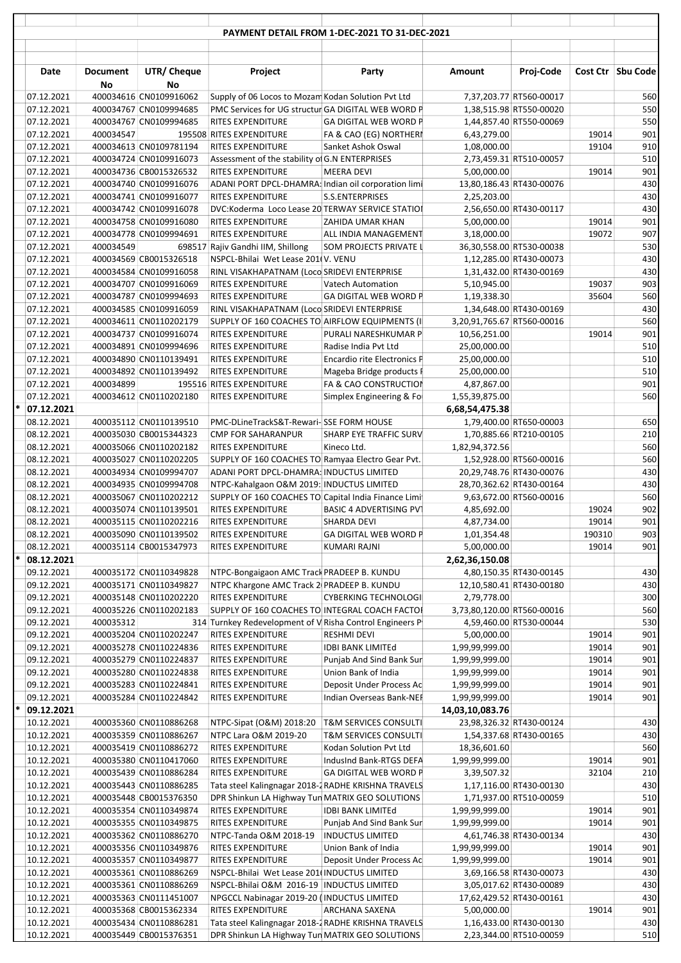|        |                          |                       |                                                  |                                                                                                | PAYMENT DETAIL FROM 1-DEC-2021 TO 31-DEC-2021   |                            |                                                    |        |                   |
|--------|--------------------------|-----------------------|--------------------------------------------------|------------------------------------------------------------------------------------------------|-------------------------------------------------|----------------------------|----------------------------------------------------|--------|-------------------|
|        | Date                     | <b>Document</b><br>No | UTR/ Cheque<br>No                                | Project                                                                                        | Party                                           | <b>Amount</b>              | Proj-Code                                          |        | Cost Ctr Sbu Code |
|        | 07.12.2021               |                       | 400034616 CN0109916062                           | Supply of 06 Locos to Mozam Kodan Solution Pvt Ltd                                             |                                                 |                            | 7,37,203.77 RT560-00017                            |        | 560               |
|        | 07.12.2021               |                       | 400034767 CN0109994685                           | PMC Services for UG structur GA DIGITAL WEB WORD P                                             |                                                 |                            | 1,38,515.98 RT550-00020                            |        | 550               |
|        | 07.12.2021               |                       | 400034767 CN0109994685                           | <b>RITES EXPENDITURE</b>                                                                       | <b>GA DIGITAL WEB WORD P</b>                    |                            | 1,44,857.40 RT550-00069                            |        | 550               |
|        | 07.12.2021               | 400034547             |                                                  | 195508 RITES EXPENDITURE                                                                       | FA & CAO (EG) NORTHERI                          | 6,43,279.00                |                                                    | 19014  | 901               |
|        | 07.12.2021               |                       | 400034613 CN0109781194                           | RITES EXPENDITURE                                                                              | Sanket Ashok Oswal                              | 1,08,000.00                |                                                    | 19104  | 910               |
|        | 07.12.2021               |                       | 400034724 CN0109916073                           | Assessment of the stability of G.N ENTERPRISES<br><b>RITES EXPENDITURE</b>                     | <b>MEERA DEVI</b>                               | 5,00,000.00                | 2,73,459.31 RT510-00057                            | 19014  | 510<br>901        |
|        | 07.12.2021<br>07.12.2021 |                       | 400034736 CB0015326532<br>400034740 CN0109916076 | ADANI PORT DPCL-DHAMRA: Indian oil corporation limi                                            |                                                 |                            | 13,80,186.43 RT430-00076                           |        | 430               |
|        | 07.12.2021               |                       | 400034741 CN0109916077                           | <b>RITES EXPENDITURE</b>                                                                       | S.S.ENTERPRISES                                 | 2,25,203.00                |                                                    |        | 430               |
|        | 07.12.2021               |                       | 400034742 CN0109916078                           | DVC:Koderma Loco Lease 20 TERWAY SERVICE STATIOI                                               |                                                 |                            | 2,56,650.00 RT430-00117                            |        | 430               |
|        | 07.12.2021               |                       | 400034758 CN0109916080                           | RITES EXPENDITURE                                                                              | ZAHIDA UMAR KHAN                                | 5,00,000.00                |                                                    | 19014  | 901               |
|        | 07.12.2021               |                       | 400034778 CN0109994691                           | RITES EXPENDITURE                                                                              | ALL INDIA MANAGEMENT                            | 3,18,000.00                |                                                    | 19072  | 907               |
|        | 07.12.2021               | 400034549             |                                                  | 698517 Rajiv Gandhi IIM, Shillong                                                              | SOM PROJECTS PRIVATE L                          |                            | 36,30,558.00 RT530-00038                           |        | 530               |
|        | 07.12.2021               |                       | 400034569 CB0015326518                           | NSPCL-Bhilai Wet Lease 201(V. VENU                                                             |                                                 |                            | 1,12,285.00 RT430-00073                            |        | 430               |
|        | 07.12.2021               |                       | 400034584 CN0109916058                           | RINL VISAKHAPATNAM (Loco SRIDEVI ENTERPRISE                                                    |                                                 |                            | 1,31,432.00 RT430-00169                            |        | 430               |
|        | 07.12.2021               |                       | 400034707 CN0109916069                           | RITES EXPENDITURE                                                                              | <b>Vatech Automation</b>                        | 5,10,945.00                |                                                    | 19037  | 903               |
|        | 07.12.2021               |                       | 400034787 CN0109994693                           | RITES EXPENDITURE                                                                              | <b>GA DIGITAL WEB WORD P</b>                    | 1,19,338.30                |                                                    | 35604  | 560               |
|        | 07.12.2021<br>07.12.2021 |                       | 400034585 CN0109916059<br>400034611 CN0110202179 | RINL VISAKHAPATNAM (Loco SRIDEVI ENTERPRISE<br>SUPPLY OF 160 COACHES TO AIRFLOW EQUIPMENTS (I) |                                                 | 3,20,91,765.67 RT560-00016 | 1,34,648.00 RT430-00169                            |        | 430<br>560        |
|        | 07.12.2021               |                       | 400034737 CN0109916074                           | RITES EXPENDITURE                                                                              | PURALI NARESHKUMAR P                            | 10,56,251.00               |                                                    | 19014  | 901               |
|        | 07.12.2021               |                       | 400034891 CN0109994696                           | RITES EXPENDITURE                                                                              | Radise India Pvt Ltd                            | 25,00,000.00               |                                                    |        | 510               |
|        | 07.12.2021               |                       | 400034890 CN0110139491                           | RITES EXPENDITURE                                                                              | <b>Encardio rite Electronics P</b>              | 25,00,000.00               |                                                    |        | 510               |
|        | 07.12.2021               |                       | 400034892 CN0110139492                           | RITES EXPENDITURE                                                                              | Mageba Bridge products I                        | 25,00,000.00               |                                                    |        | 510               |
|        | 07.12.2021               | 400034899             |                                                  | 195516 RITES EXPENDITURE                                                                       | FA & CAO CONSTRUCTION                           | 4,87,867.00                |                                                    |        | 901               |
|        | 07.12.2021               |                       | 400034612 CN0110202180                           | <b>RITES EXPENDITURE</b>                                                                       | Simplex Engineering & Fo                        | 1,55,39,875.00             |                                                    |        | 560               |
| *      | 07.12.2021               |                       |                                                  |                                                                                                |                                                 | 6,68,54,475.38             |                                                    |        |                   |
|        | 08.12.2021               |                       | 400035112 CN0110139510                           | PMC-DLineTrackS&T-Rewari-SSE FORM HOUSE                                                        |                                                 |                            | 1,79,400.00 RT650-00003                            |        | 650               |
|        | 08.12.2021               |                       | 400035030 CB0015344323                           | <b>CMP FOR SAHARANPUR</b>                                                                      | SHARP EYE TRAFFIC SURV                          |                            | 1,70,885.66 RT210-00105                            |        | 210               |
|        | 08.12.2021<br>08.12.2021 |                       | 400035066 CN0110202182<br>400035027 CN0110202205 | <b>RITES EXPENDITURE</b><br>SUPPLY OF 160 COACHES TO Ramyaa Electro Gear Pvt.                  | Kineco Ltd.                                     | 1,82,94,372.56             | 1,52,928.00 RT560-00016                            |        | 560<br>560        |
|        | 08.12.2021               |                       | 400034934 CN0109994707                           | ADANI PORT DPCL-DHAMRA: INDUCTUS LIMITED                                                       |                                                 |                            | 20,29,748.76 RT430-00076                           |        | 430               |
|        | 08.12.2021               |                       | 400034935 CN0109994708                           | NTPC-Kahalgaon O&M 2019: INDUCTUS LIMITED                                                      |                                                 |                            | 28,70,362.62 RT430-00164                           |        | 430               |
|        | 08.12.2021               |                       | 400035067 CN0110202212                           | SUPPLY OF 160 COACHES TO Capital India Finance Limi                                            |                                                 |                            | 9,63,672.00 RT560-00016                            |        | 560               |
|        | 08.12.2021               |                       | 400035074 CN0110139501                           | <b>RITES EXPENDITURE</b>                                                                       | <b>BASIC 4 ADVERTISING PVT</b>                  | 4,85,692.00                |                                                    | 19024  | 902               |
|        | 08.12.2021               |                       | 400035115 CN0110202216                           | RITES EXPENDITURE                                                                              | SHARDA DEVI                                     | 4,87,734.00                |                                                    | 19014  | 901               |
|        | 08.12.2021               |                       | 400035090 CN0110139502                           | RITES EXPENDITURE                                                                              | <b>GA DIGITAL WEB WORD P</b>                    | 1,01,354.48                |                                                    | 190310 | 903               |
|        | 08.12.2021               |                       | 400035114 CB0015347973                           | RITES EXPENDITURE                                                                              | KUMARI RAJNI                                    | 5,00,000.00                |                                                    | 19014  | 901               |
| *      | 08.12.2021               |                       |                                                  |                                                                                                |                                                 | 2,62,36,150.08             |                                                    |        |                   |
|        | 09.12.2021               |                       | 400035172 CN0110349828                           | NTPC-Bongaigaon AMC Track PRADEEP B. KUNDU                                                     |                                                 |                            | 4,80,150.35 RT430-00145                            |        | 430               |
|        | 09.12.2021<br>09.12.2021 |                       | 400035171 CN0110349827<br>400035148 CN0110202220 | NTPC Khargone AMC Track 2 PRADEEP B. KUNDU<br><b>RITES EXPENDITURE</b>                         | <b>CYBERKING TECHNOLOGI</b>                     | 2,79,778.00                | 12,10,580.41 RT430-00180                           |        | 430<br>300        |
|        | 09.12.2021               |                       | 400035226 CN0110202183                           | SUPPLY OF 160 COACHES TO INTEGRAL COACH FACTOL                                                 |                                                 | 3,73,80,120.00 RT560-00016 |                                                    |        | 560               |
|        | 09.12.2021               | 400035312             |                                                  | 314 Turnkey Redevelopment of V Risha Control Engineers P                                       |                                                 |                            | 4,59,460.00 RT530-00044                            |        | 530               |
|        | 09.12.2021               |                       | 400035204 CN0110202247                           | RITES EXPENDITURE                                                                              | RESHMI DEVI                                     | 5,00,000.00                |                                                    | 19014  | 901               |
|        | 09.12.2021               |                       | 400035278 CN0110224836                           | RITES EXPENDITURE                                                                              | <b>IDBI BANK LIMITEd</b>                        | 1,99,99,999.00             |                                                    | 19014  | 901               |
|        | 09.12.2021               |                       | 400035279 CN0110224837                           | RITES EXPENDITURE                                                                              | Punjab And Sind Bank Sur                        | 1,99,99,999.00             |                                                    | 19014  | 901               |
|        | 09.12.2021               |                       | 400035280 CN0110224838                           | RITES EXPENDITURE                                                                              | Union Bank of India                             | 1,99,99,999.00             |                                                    | 19014  | 901               |
|        | 09.12.2021               |                       | 400035283 CN0110224841                           | RITES EXPENDITURE                                                                              | Deposit Under Process Ac                        | 1,99,99,999.00             |                                                    | 19014  | 901               |
|        | 09.12.2021               |                       | 400035284 CN0110224842                           | RITES EXPENDITURE                                                                              | Indian Overseas Bank-NEF                        | 1,99,99,999.00             |                                                    | 19014  | 901               |
| $\ast$ | 09.12.2021               |                       |                                                  |                                                                                                |                                                 | 14,03,10,083.76            |                                                    |        |                   |
|        | 10.12.2021               |                       | 400035360 CN0110886268                           | NTPC-Sipat (O&M) 2018:20<br>NTPC Lara O&M 2019-20                                              | <b>T&amp;M SERVICES CONSULTI</b>                |                            | 23,98,326.32 RT430-00124                           |        | 430<br>430        |
|        | 10.12.2021<br>10.12.2021 |                       | 400035359 CN0110886267<br>400035419 CN0110886272 | RITES EXPENDITURE                                                                              | T&M SERVICES CONSULTI<br>Kodan Solution Pvt Ltd | 18,36,601.60               | 1,54,337.68 RT430-00165                            |        | 560               |
|        | 10.12.2021               |                       | 400035380 CN0110417060                           | RITES EXPENDITURE                                                                              | IndusInd Bank-RTGS DEFA                         | 1,99,99,999.00             |                                                    | 19014  | 901               |
|        | 10.12.2021               |                       | 400035439 CN0110886284                           | RITES EXPENDITURE                                                                              | <b>GA DIGITAL WEB WORD P</b>                    | 3,39,507.32                |                                                    | 32104  | 210               |
|        | 10.12.2021               |                       | 400035443 CN0110886285                           | Tata steel Kalingnagar 2018-2 RADHE KRISHNA TRAVELS                                            |                                                 |                            | 1,17,116.00 RT430-00130                            |        | 430               |
|        | 10.12.2021               |                       | 400035448 CB0015376350                           | DPR Shinkun LA Highway Tun MATRIX GEO SOLUTIONS                                                |                                                 |                            | 1,71,937.00 RT510-00059                            |        | 510               |
|        | 10.12.2021               |                       | 400035354 CN0110349874                           | RITES EXPENDITURE                                                                              | <b>IDBI BANK LIMITEd</b>                        | 1,99,99,999.00             |                                                    | 19014  | 901               |
|        | 10.12.2021               |                       | 400035355 CN0110349875                           | RITES EXPENDITURE                                                                              | Punjab And Sind Bank Sur                        | 1,99,99,999.00             |                                                    | 19014  | 901               |
|        | 10.12.2021               |                       | 400035362 CN0110886270                           | NTPC-Tanda O&M 2018-19                                                                         | <b>INDUCTUS LIMITED</b>                         |                            | 4,61,746.38 RT430-00134                            |        | 430               |
|        | 10.12.2021               |                       | 400035356 CN0110349876                           | RITES EXPENDITURE                                                                              | Union Bank of India                             | 1,99,99,999.00             |                                                    | 19014  | 901               |
|        | 10.12.2021               |                       | 400035357 CN0110349877                           | RITES EXPENDITURE                                                                              | Deposit Under Process Ac                        | 1,99,99,999.00             |                                                    | 19014  | 901               |
|        | 10.12.2021<br>10.12.2021 |                       | 400035361 CN0110886269<br>400035361 CN0110886269 | NSPCL-Bhilai Wet Lease 201(INDUCTUS LIMITED<br>NSPCL-Bhilai O&M 2016-19  INDUCTUS LIMITED      |                                                 |                            | 3,69,166.58 RT430-00073<br>3,05,017.62 RT430-00089 |        | 430<br>430        |
|        | 10.12.2021               |                       | 400035363 CN0111451007                           | NPGCCL Nabinagar 2019-20 (INDUCTUS LIMITED                                                     |                                                 |                            | 17,62,429.52 RT430-00161                           |        | 430               |
|        | 10.12.2021               |                       | 400035368 CB0015362334                           | RITES EXPENDITURE                                                                              | ARCHANA SAXENA                                  | 5,00,000.00                |                                                    | 19014  | 901               |
|        | 10.12.2021               |                       | 400035434 CN0110886281                           | Tata steel Kalingnagar 2018-2 RADHE KRISHNA TRAVELS                                            |                                                 |                            | 1,16,433.00 RT430-00130                            |        | 430               |
|        | 10.12.2021               |                       | 400035449 CB0015376351                           | DPR Shinkun LA Highway Tun MATRIX GEO SOLUTIONS                                                |                                                 |                            | 2,23,344.00 RT510-00059                            |        | 510               |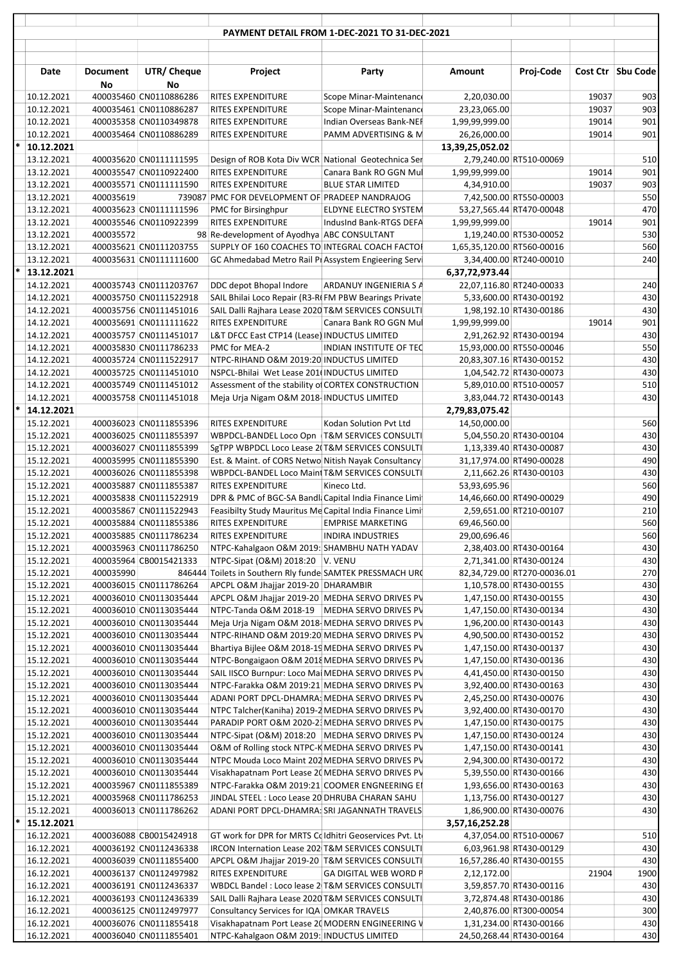|                          |                       |                                                  |                                                                                                         | PAYMENT DETAIL FROM 1-DEC-2021 TO 31-DEC-2021    |                                |                                                     |                |                   |
|--------------------------|-----------------------|--------------------------------------------------|---------------------------------------------------------------------------------------------------------|--------------------------------------------------|--------------------------------|-----------------------------------------------------|----------------|-------------------|
|                          |                       |                                                  |                                                                                                         |                                                  |                                |                                                     |                |                   |
| Date                     | <b>Document</b><br>No | UTR/ Cheque<br>No                                | Project                                                                                                 | Party                                            | <b>Amount</b>                  | Proj-Code                                           |                | Cost Ctr Sbu Code |
| 10.12.2021               |                       | 400035460 CN0110886286                           | RITES EXPENDITURE                                                                                       | Scope Minar-Maintenance                          | 2,20,030.00                    |                                                     | 19037          | 903               |
| 10.12.2021               |                       | 400035461 CN0110886287                           | RITES EXPENDITURE                                                                                       | Scope Minar-Maintenance                          | 23,23,065.00                   |                                                     | 19037          | 903               |
| 10.12.2021<br>10.12.2021 |                       | 400035358 CN0110349878<br>400035464 CN0110886289 | <b>RITES EXPENDITURE</b><br>RITES EXPENDITURE                                                           | Indian Overseas Bank-NEF<br>PAMM ADVERTISING & M | 1,99,99,999.00<br>26,26,000.00 |                                                     | 19014<br>19014 | 901<br>901        |
| 10.12.2021               |                       |                                                  |                                                                                                         |                                                  | 13,39,25,052.02                |                                                     |                |                   |
| 13.12.2021               |                       | 400035620 CN0111111595                           | Design of ROB Kota Div WCR National Geotechnica Ser                                                     |                                                  |                                | 2,79,240.00 RT510-00069                             |                | 510               |
| 13.12.2021               |                       | 400035547 CN0110922400                           | RITES EXPENDITURE                                                                                       | Canara Bank RO GGN Mul                           | 1,99,99,999.00                 |                                                     | 19014          | 901               |
| 13.12.2021               |                       | 400035571 CN0111111590                           | <b>RITES EXPENDITURE</b>                                                                                | <b>BLUE STAR LIMITED</b>                         | 4,34,910.00                    |                                                     | 19037          | 903               |
| 13.12.2021               | 400035619             |                                                  | 739087 PMC FOR DEVELOPMENT OF PRADEEP NANDRAJOG                                                         |                                                  |                                | 7,42,500.00 RT550-00003                             |                | 550               |
| 13.12.2021               |                       | 400035623 CN0111111596                           | PMC for Birsinghpur                                                                                     | ELDYNE ELECTRO SYSTEM                            |                                | 53,27,565.44 RT470-00048                            |                | 470               |
| 13.12.2021<br>13.12.2021 | 400035572             | 400035546 CN0110922399                           | RITES EXPENDITURE<br>98 Re-development of Ayodhya ABC CONSULTANT                                        | IndusInd Bank-RTGS DEFA                          | 1,99,99,999.00                 | 1,19,240.00 RT530-00052                             | 19014          | 901<br>530        |
| 13.12.2021               |                       | 400035621 CN0111203755                           | SUPPLY OF 160 COACHES TO INTEGRAL COACH FACTOL                                                          |                                                  | 1,65,35,120.00 RT560-00016     |                                                     |                | 560               |
| 13.12.2021               |                       | 400035631 CN0111111600                           | GC Ahmedabad Metro Rail PI Assystem Engieering Servi                                                    |                                                  |                                | 3,34,400.00 RT240-00010                             |                | 240               |
| $*$ 13.12.2021           |                       |                                                  |                                                                                                         |                                                  | 6,37,72,973.44                 |                                                     |                |                   |
| 14.12.2021               |                       | 400035743 CN0111203767                           | DDC depot Bhopal Indore                                                                                 | <b>ARDANUY INGENIERIA S A</b>                    |                                | 22,07,116.80 RT240-00033                            |                | 240               |
| 14.12.2021               |                       | 400035750 CN0111522918                           | SAIL Bhilai Loco Repair (R3-RIFM PBW Bearings Private                                                   |                                                  |                                | 5,33,600.00 RT430-00192                             |                | 430               |
| 14.12.2021               |                       | 400035756 CN0111451016                           | SAIL Dalli Rajhara Lease 2020 T&M SERVICES CONSULTI                                                     |                                                  |                                | 1,98,192.10 RT430-00186                             |                | 430               |
| 14.12.2021               |                       | 400035691 CN0111111622                           | RITES EXPENDITURE                                                                                       | Canara Bank RO GGN Mul                           | 1,99,99,999.00                 |                                                     | 19014          | 901               |
| 14.12.2021<br>14.12.2021 |                       | 400035757 CN0111451017<br>400035830 CN0111786233 | L&T DFCC East CTP14 (Lease) INDUCTUS LIMITED<br>PMC for MEA-2                                           | INDIAN INSTITUTE OF TEC                          |                                | 2,91,262.92 RT430-00194<br>15,93,000.00 RT550-00046 |                | 430<br>550        |
| 14.12.2021               |                       | 400035724 CN0111522917                           | NTPC-RIHAND O&M 2019:20 INDUCTUS LIMITED                                                                |                                                  |                                | 20,83,307.16 RT430-00152                            |                | 430               |
| 14.12.2021               |                       | 400035725 CN0111451010                           | NSPCL-Bhilai Wet Lease 201(INDUCTUS LIMITED                                                             |                                                  |                                | 1,04,542.72 RT430-00073                             |                | 430               |
| 14.12.2021               |                       | 400035749 CN0111451012                           | Assessment of the stability of CORTEX CONSTRUCTION                                                      |                                                  |                                | 5,89,010.00 RT510-00057                             |                | 510               |
| 14.12.2021               |                       | 400035758 CN0111451018                           | Meja Urja Nigam O&M 2018- INDUCTUS LIMITED                                                              |                                                  |                                | 3,83,044.72 RT430-00143                             |                | 430               |
| $*$ 14.12.2021           |                       |                                                  |                                                                                                         |                                                  | 2,79,83,075.42                 |                                                     |                |                   |
| 15.12.2021               |                       | 400036023 CN0111855396                           | <b>RITES EXPENDITURE</b>                                                                                | Kodan Solution Pvt Ltd                           | 14,50,000.00                   |                                                     |                | 560               |
| 15.12.2021               |                       | 400036025 CN0111855397                           | WBPDCL-BANDEL Loco Opn  T&M SERVICES CONSULTI                                                           |                                                  |                                | 5,04,550.20 RT430-00104                             |                | 430<br>430        |
| 15.12.2021<br>15.12.2021 |                       | 400036027 CN0111855399<br>400035995 CN0111855390 | SgTPP WBPDCL Loco Lease 2(T&M SERVICES CONSULTI<br>Est. & Maint. of CORS Netwo Nitish Nayak Consultancy |                                                  |                                | 1,13,339.40 RT430-00087<br>31,17,974.00 RT490-00028 |                | 490               |
| 15.12.2021               |                       | 400036026 CN0111855398                           | WBPDCL-BANDEL Loco Maint T&M SERVICES CONSULTI                                                          |                                                  |                                | 2,11,662.26 RT430-00103                             |                | 430               |
| 15.12.2021               |                       | 400035887 CN0111855387                           | <b>RITES EXPENDITURE</b>                                                                                | Kineco Ltd.                                      | 53,93,695.96                   |                                                     |                | 560               |
| 15.12.2021               |                       | 400035838 CN0111522919                           | DPR & PMC of BGC-SA Bandl: Capital India Finance Limi                                                   |                                                  |                                | 14,46,660.00 RT490-00029                            |                | 490               |
| 15.12.2021               |                       | 400035867 CN0111522943                           | Feasibilty Study Mauritus Me Capital India Finance Limi                                                 |                                                  |                                | 2,59,651.00 RT210-00107                             |                | 210               |
| 15.12.2021               |                       | 400035884 CN0111855386                           | RITES EXPENDITURE EMPRISE MARKETING                                                                     |                                                  | 69,46,560.00                   |                                                     |                | 560               |
| 15.12.2021               |                       | 400035885 CN0111786234                           | RITES EXPENDITURE                                                                                       | <b>INDIRA INDUSTRIES</b>                         | 29,00,696.46                   |                                                     |                | 560               |
| 15.12.2021<br>15.12.2021 |                       | 400035963 CN0111786250<br>400035964 CB0015421333 | NTPC-Kahalgaon O&M 2019: SHAMBHU NATH YADAV<br>NTPC-Sipat (O&M) 2018:20 V. VENU                         |                                                  |                                | 2,38,403.00 RT430-00164<br>2,71,341.00 RT430-00124  |                | 430<br>430        |
| 15.12.2021               | 400035990             |                                                  | 846444 Toilets in Southern Rly funde SAMTEK PRESSMACH URC                                               |                                                  |                                | 82,34,729.00 RT270-00036.01                         |                | 270               |
| 15.12.2021               |                       | 400036015 CN0111786264                           | APCPL O&M Jhajjar 2019-20 DHARAMBIR                                                                     |                                                  |                                | 1,10,578.00 RT430-00155                             |                | 430               |
| 15.12.2021               |                       | 400036010 CN0113035444                           | APCPL O&M Jhajjar 2019-20 MEDHA SERVO DRIVES PV                                                         |                                                  |                                | 1,47,150.00 RT430-00155                             |                | 430               |
| 15.12.2021               |                       | 400036010 CN0113035444                           | NTPC-Tanda O&M 2018-19   MEDHA SERVO DRIVES PV                                                          |                                                  |                                | 1,47,150.00 RT430-00134                             |                | 430               |
| 15.12.2021               |                       | 400036010 CN0113035444                           | Meja Urja Nigam O&M 2018-MEDHA SERVO DRIVES PV                                                          |                                                  |                                | 1,96,200.00 RT430-00143                             |                | 430               |
| 15.12.2021               |                       | 400036010 CN0113035444                           | NTPC-RIHAND O&M 2019:20 MEDHA SERVO DRIVES PV                                                           |                                                  |                                | 4,90,500.00 RT430-00152                             |                | 430               |
| 15.12.2021<br>15.12.2021 |                       | 400036010 CN0113035444<br>400036010 CN0113035444 | Bhartiya Bijlee O&M 2018-19 MEDHA SERVO DRIVES PV<br>NTPC-Bongaigaon O&M 2018 MEDHA SERVO DRIVES PV     |                                                  |                                | 1,47,150.00 RT430-00137<br>1,47,150.00 RT430-00136  |                | 430<br>430        |
| 15.12.2021               |                       | 400036010 CN0113035444                           | SAIL IISCO Burnpur: Loco Mai MEDHA SERVO DRIVES PV                                                      |                                                  |                                | 4,41,450.00 RT430-00150                             |                | 430               |
| 15.12.2021               |                       | 400036010 CN0113035444                           | NTPC-Farakka O&M 2019:21 MEDHA SERVO DRIVES PV                                                          |                                                  |                                | 3,92,400.00 RT430-00163                             |                | 430               |
| 15.12.2021               |                       | 400036010 CN0113035444                           | ADANI PORT DPCL-DHAMRA: MEDHA SERVO DRIVES PV                                                           |                                                  |                                | 2,45,250.00 RT430-00076                             |                | 430               |
| 15.12.2021               |                       | 400036010 CN0113035444                           | NTPC Talcher(Kaniha) 2019-2 MEDHA SERVO DRIVES PV                                                       |                                                  |                                | 3,92,400.00 RT430-00170                             |                | 430               |
| 15.12.2021               |                       | 400036010 CN0113035444                           | PARADIP PORT O&M 2020-2 MEDHA SERVO DRIVES PV                                                           |                                                  |                                | 1,47,150.00 RT430-00175                             |                | 430               |
| 15.12.2021               |                       | 400036010 CN0113035444                           | NTPC-Sipat (O&M) 2018:20 MEDHA SERVO DRIVES PV                                                          |                                                  |                                | 1,47,150.00 RT430-00124                             |                | 430               |
| 15.12.2021               |                       | 400036010 CN0113035444                           | O&M of Rolling stock NTPC-K MEDHA SERVO DRIVES PV                                                       |                                                  |                                | 1,47,150.00 RT430-00141                             |                | 430               |
| 15.12.2021<br>15.12.2021 |                       | 400036010 CN0113035444<br>400036010 CN0113035444 | NTPC Mouda Loco Maint 202 MEDHA SERVO DRIVES PV<br>Visakhapatnam Port Lease 2(MEDHA SERVO DRIVES PV     |                                                  |                                | 2,94,300.00 RT430-00172<br>5,39,550.00 RT430-00166  |                | 430<br>430        |
| 15.12.2021               |                       | 400035967 CN0111855389                           | NTPC-Farakka O&M 2019:21 COOMER ENGNEERING EI                                                           |                                                  |                                | 1,93,656.00 RT430-00163                             |                | 430               |
| 15.12.2021               |                       | 400035968 CN0111786253                           | JINDAL STEEL : Loco Lease 20 DHRUBA CHARAN SAHU                                                         |                                                  |                                | 1,13,756.00 RT430-00127                             |                | 430               |
| 15.12.2021               |                       | 400036013 CN0111786262                           | ADANI PORT DPCL-DHAMRA: SRI JAGANNATH TRAVELS                                                           |                                                  |                                | 1,86,900.00 RT430-00076                             |                | 430               |
| $*$ 15.12.2021           |                       |                                                  |                                                                                                         |                                                  | 3,57,16,252.28                 |                                                     |                |                   |
| 16.12.2021               |                       | 400036088 CB0015424918                           | GT work for DPR for MRTS Coldhitri Geoservices Pvt. Ltd                                                 |                                                  |                                | 4,37,054.00 RT510-00067                             |                | 510               |
| 16.12.2021               |                       | 400036192 CN0112436338                           | IRCON Internation Lease 202 T&M SERVICES CONSULTI                                                       |                                                  |                                | 6,03,961.98 RT430-00129                             |                | 430               |
| 16.12.2021<br>16.12.2021 |                       | 400036039 CN0111855400<br>400036137 CN0112497982 | APCPL O&M Jhajjar 2019-20 T&M SERVICES CONSULTI<br>RITES EXPENDITURE                                    | <b>GA DIGITAL WEB WORD P</b>                     | 2,12,172.00                    | 16,57,286.40 RT430-00155                            | 21904          | 430<br>1900       |
| 16.12.2021               |                       | 400036191 CN0112436337                           | WBDCL Bandel: Loco lease 2 T&M SERVICES CONSULTI                                                        |                                                  |                                | 3,59,857.70 RT430-00116                             |                | 430               |
| 16.12.2021               |                       | 400036193 CN0112436339                           | SAIL Dalli Rajhara Lease 2020 T&M SERVICES CONSULTI                                                     |                                                  |                                | 3,72,874.48 RT430-00186                             |                | 430               |
| 16.12.2021               |                       | 400036125 CN0112497977                           | Consultancy Services for IQA OMKAR TRAVELS                                                              |                                                  |                                | 2,40,876.00 RT300-00054                             |                | 300               |
| 16.12.2021               |                       | 400036076 CN0111855418                           | Visakhapatnam Port Lease 2(MODERN ENGINEERING V                                                         |                                                  |                                | 1,31,234.00 RT430-00166                             |                | 430               |
| 16.12.2021               |                       | 400036040 CN0111855401                           | NTPC-Kahalgaon O&M 2019: INDUCTUS LIMITED                                                               |                                                  | 24,50,268.44 RT430-00164       |                                                     |                | 430               |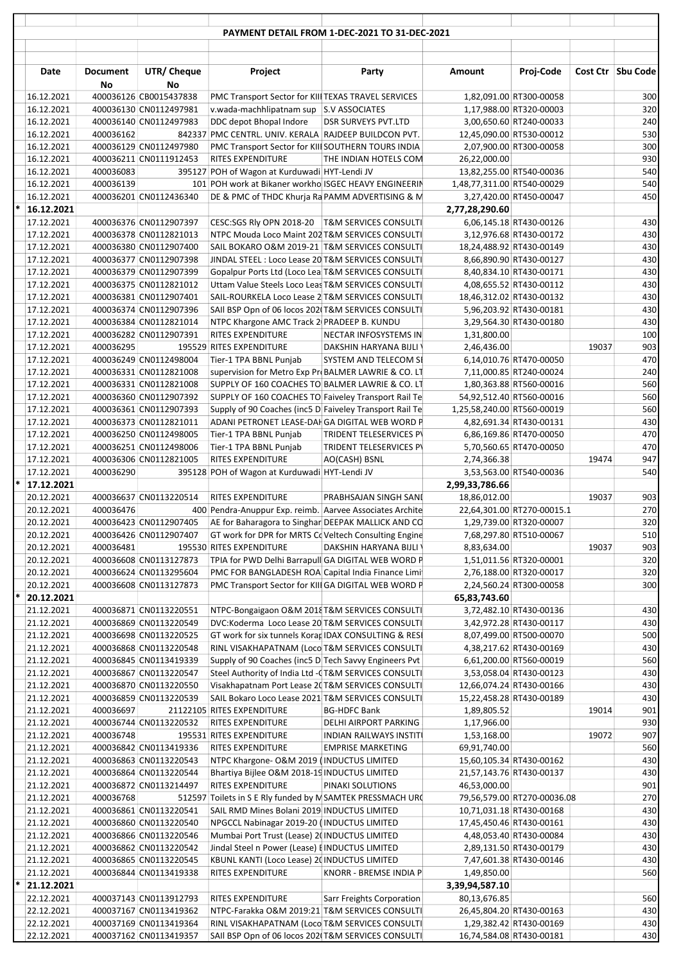|   |                          |                       |                                                  |                                                                                                                                    | PAYMENT DETAIL FROM 1-DEC-2021 TO 31-DEC-2021    |                               |                                                     |       |                     |
|---|--------------------------|-----------------------|--------------------------------------------------|------------------------------------------------------------------------------------------------------------------------------------|--------------------------------------------------|-------------------------------|-----------------------------------------------------|-------|---------------------|
|   |                          |                       |                                                  |                                                                                                                                    |                                                  |                               |                                                     |       |                     |
|   | Date                     | <b>Document</b><br>No | UTR/ Cheque<br>No                                | Project                                                                                                                            | Party                                            | <b>Amount</b>                 | Proj-Code                                           |       | Cost Ctr   Sbu Code |
|   | 16.12.2021               |                       | 400036126 CB0015437838                           | PMC Transport Sector for KIII TEXAS TRAVEL SERVICES                                                                                |                                                  |                               | 1,82,091.00 RT300-00058                             |       | 300                 |
|   | 16.12.2021               |                       | 400036130 CN0112497981                           | v.wada-machhlipatnam sup S.V ASSOCIATES                                                                                            |                                                  |                               | 1,17,988.00 RT320-00003                             |       | 320                 |
|   | 16.12.2021               |                       | 400036140 CN0112497983                           | DDC depot Bhopal Indore                                                                                                            | DSR SURVEYS PVT.LTD                              |                               | 3,00,650.60 RT240-00033                             |       | 240                 |
|   | 16.12.2021               | 400036162             | 400036129 CN0112497980                           | 842337 PMC CENTRL. UNIV. KERALA RAJDEEP BUILDCON PVT.                                                                              |                                                  |                               | 12,45,090.00 RT530-00012                            |       | 530<br>300          |
|   | 16.12.2021<br>16.12.2021 |                       | 400036211 CN0111912453                           | PMC Transport Sector for KIII SOUTHERN TOURS INDIA<br><b>RITES EXPENDITURE</b>                                                     | THE INDIAN HOTELS COM                            | 26,22,000.00                  | 2,07,900.00 RT300-00058                             |       | 930                 |
|   | 16.12.2021               | 400036083             |                                                  | 395127 POH of Wagon at Kurduwadi HYT-Lendi JV                                                                                      |                                                  |                               | 13,82,255.00 RT540-00036                            |       | 540                 |
|   | 16.12.2021               | 400036139             |                                                  | 101 POH work at Bikaner workhol SGEC HEAVY ENGINEERIN                                                                              |                                                  | 1,48,77,311.00 RT540-00029    |                                                     |       | 540                 |
|   | 16.12.2021               |                       | 400036201 CN0112436340                           | DE & PMC of THDC Khurja Ra PAMM ADVERTISING & M                                                                                    |                                                  |                               | 3,27,420.00 RT450-00047                             |       | 450                 |
|   | $*$   16.12.2021         |                       |                                                  |                                                                                                                                    |                                                  | 2,77,28,290.60                |                                                     |       |                     |
|   | 17.12.2021               |                       | 400036376 CN0112907397                           | CESC:SGS RIy OPN 2018-20   T&M SERVICES CONSULTI<br>NTPC Mouda Loco Maint 202 T&M SERVICES CONSULTI                                |                                                  |                               | 6,06,145.18 RT430-00126                             |       | 430<br>430          |
|   | 17.12.2021<br>17.12.2021 |                       | 400036378 CN0112821013<br>400036380 CN0112907400 | SAIL BOKARO O&M 2019-21 T&M SERVICES CONSULTI                                                                                      |                                                  |                               | 3,12,976.68 RT430-00172<br>18,24,488.92 RT430-00149 |       | 430                 |
|   | 17.12.2021               |                       | 400036377 CN0112907398                           | JINDAL STEEL : Loco Lease 20 T&M SERVICES CONSULTI                                                                                 |                                                  |                               | 8,66,890.90 RT430-00127                             |       | 430                 |
|   | 17.12.2021               |                       | 400036379 CN0112907399                           | Gopalpur Ports Ltd (Loco Lea T&M SERVICES CONSULTI                                                                                 |                                                  |                               | 8,40,834.10 RT430-00171                             |       | 430                 |
|   | 17.12.2021               |                       | 400036375 CN0112821012                           | Uttam Value Steels Loco Leas T&M SERVICES CONSULTI                                                                                 |                                                  |                               | 4,08,655.52 RT430-00112                             |       | 430                 |
|   | 17.12.2021               |                       | 400036381 CN0112907401                           | SAIL-ROURKELA Loco Lease 2 T&M SERVICES CONSULTI                                                                                   |                                                  |                               | 18,46,312.02 RT430-00132                            |       | 430                 |
|   | 17.12.2021               |                       | 400036374 CN0112907396                           | SAII BSP Opn of 06 locos 202(T&M SERVICES CONSULTI                                                                                 |                                                  |                               | 5,96,203.92 RT430-00181                             |       | 430                 |
|   | 17.12.2021               |                       | 400036384 CN0112821014                           | NTPC Khargone AMC Track 2 PRADEEP B. KUNDU<br><b>RITES EXPENDITURE</b>                                                             |                                                  |                               | 3,29,564.30 RT430-00180                             |       | 430<br>100          |
|   | 17.12.2021<br>17.12.2021 | 400036295             | 400036282 CN0112907391                           | 195529 RITES EXPENDITURE                                                                                                           | NECTAR INFOSYSTEMS IN<br>DAKSHIN HARYANA BIJLI \ | 1,31,800.00<br>2,46,436.00    |                                                     | 19037 | 903                 |
|   | 17.12.2021               |                       | 400036249 CN0112498004                           | Tier-1 TPA BBNL Punjab                                                                                                             | SYSTEM AND TELECOM SI                            |                               | 6,14,010.76 RT470-00050                             |       | 470                 |
|   | 17.12.2021               |                       | 400036331 CN0112821008                           | supervision for Metro Exp Pr BALMER LAWRIE & CO. LT                                                                                |                                                  |                               | 7,11,000.85 RT240-00024                             |       | 240                 |
|   | 17.12.2021               |                       | 400036331 CN0112821008                           | SUPPLY OF 160 COACHES TO BALMER LAWRIE & CO. LT                                                                                    |                                                  |                               | 1,80,363.88 RT560-00016                             |       | 560                 |
|   | 17.12.2021               |                       | 400036360 CN0112907392                           | SUPPLY OF 160 COACHES TO Faiveley Transport Rail Te                                                                                |                                                  |                               | 54,92,512.40 RT560-00016                            |       | 560                 |
|   | 17.12.2021               |                       | 400036361 CN0112907393                           | Supply of 90 Coaches (inc5 D Faiveley Transport Rail Te                                                                            |                                                  | 1,25,58,240.00 RT560-00019    |                                                     |       | 560                 |
|   | 17.12.2021<br>17.12.2021 |                       | 400036373 CN0112821011<br>400036250 CN0112498005 | ADANI PETRONET LEASE-DAI GA DIGITAL WEB WORD P<br>Tier-1 TPA BBNL Punjab                                                           | TRIDENT TELESERVICES PV                          |                               | 4,82,691.34 RT430-00131<br>6,86,169.86 RT470-00050  |       | 430<br>470          |
|   | 17.12.2021               |                       | 400036251 CN0112498006                           | Tier-1 TPA BBNL Punjab                                                                                                             | TRIDENT TELESERVICES PV                          |                               | 5,70,560.65 RT470-00050                             |       | 470                 |
|   | 17.12.2021               |                       | 400036306 CN0112821005                           | <b>RITES EXPENDITURE</b>                                                                                                           | AO(CASH) BSNL                                    | 2,74,366.38                   |                                                     | 19474 | 947                 |
|   | 17.12.2021               | 400036290             |                                                  | 395128 POH of Wagon at Kurduwadi HYT-Lendi JV                                                                                      |                                                  |                               | 3,53,563.00 RT540-00036                             |       | 540                 |
|   | $*$ 17.12.2021           |                       |                                                  |                                                                                                                                    |                                                  | 2,99,33,786.66                |                                                     |       |                     |
|   | 20.12.2021               |                       | 400036637 CN0113220514                           | <b>RITES EXPENDITURE</b>                                                                                                           | PRABHSAJAN SINGH SANI                            | 18,86,012.00                  |                                                     | 19037 | 903                 |
|   | 20.12.2021               | 400036476             |                                                  | 400 Pendra-Anuppur Exp. reimb. Aarvee Associates Archite                                                                           |                                                  |                               | 22,64,301.00 RT270-00015.1                          |       | 270<br>320          |
|   | 20.12.2021<br>20.12.2021 |                       | 400036426 CN0112907407                           | 400036423 CN0112907405 AE for Baharagora to Singhar DEEPAK MALLICK AND CO<br>GT work for DPR for MRTS Co Veltech Consulting Engine |                                                  |                               | 1,29,739.00 RT320-00007<br>7,68,297.80 RT510-00067  |       | 510                 |
|   | 20.12.2021               | 400036481             |                                                  | 195530 RITES EXPENDITURE                                                                                                           | DAKSHIN HARYANA BIJLI V                          | 8,83,634.00                   |                                                     | 19037 | 903                 |
|   | 20.12.2021               |                       | 400036608 CN0113127873                           | TPIA for PWD Delhi Barrapull GA DIGITAL WEB WORD P                                                                                 |                                                  |                               | 1,51,011.56 RT320-00001                             |       | 320                 |
|   | 20.12.2021               |                       | 400036624 CN0113295604                           | PMC FOR BANGLADESH ROA Capital India Finance Limi                                                                                  |                                                  |                               | 2,76,188.00 RT320-00017                             |       | 320                 |
|   | 20.12.2021               |                       | 400036608 CN0113127873                           | PMC Transport Sector for KIII GA DIGITAL WEB WORD P                                                                                |                                                  |                               | 2,24,560.24 RT300-00058                             |       | 300                 |
| * | 20.12.2021               |                       |                                                  |                                                                                                                                    |                                                  | 65,83,743.60                  |                                                     |       |                     |
|   | 21.12.2021<br>21.12.2021 |                       | 400036871 CN0113220551<br>400036869 CN0113220549 | NTPC-Bongaigaon O&M 2018 T&M SERVICES CONSULTI<br>DVC:Koderma Loco Lease 20 T&M SERVICES CONSULTI                                  |                                                  |                               | 3,72,482.10 RT430-00136<br>3,42,972.28 RT430-00117  |       | 430<br>430          |
|   | 21.12.2021               |                       | 400036698 CN0113220525                           | GT work for six tunnels Korar IDAX CONSULTING & RESI                                                                               |                                                  |                               | 8,07,499.00 RT500-00070                             |       | 500                 |
|   | 21.12.2021               |                       | 400036868 CN0113220548                           | RINL VISAKHAPATNAM (Loco T&M SERVICES CONSULTI                                                                                     |                                                  |                               | 4,38,217.62 RT430-00169                             |       | 430                 |
|   | 21.12.2021               |                       | 400036845 CN0113419339                           | Supply of 90 Coaches (inc5 D Tech Savvy Engineers Pvt                                                                              |                                                  |                               | 6,61,200.00 RT560-00019                             |       | 560                 |
|   | 21.12.2021               |                       | 400036867 CN0113220547                           | Steel Authority of India Ltd - (T&M SERVICES CONSULTI                                                                              |                                                  |                               | 3,53,058.04 RT430-00123                             |       | 430                 |
|   | 21.12.2021               |                       | 400036870 CN0113220550                           | Visakhapatnam Port Lease 2(T&M SERVICES CONSULTI                                                                                   |                                                  |                               | 12,66,074.24 RT430-00166                            |       | 430                 |
|   | 21.12.2021<br>21.12.2021 | 400036697             | 400036859 CN0113220539                           | SAIL Bokaro Loco Lease 2021 T&M SERVICES CONSULTI<br>21122105 RITES EXPENDITURE                                                    | <b>BG-HDFC Bank</b>                              | 1,89,805.52                   | 15,22,458.28 RT430-00189                            | 19014 | 430<br>901          |
|   | 21.12.2021               |                       | 400036744 CN0113220532                           | RITES EXPENDITURE                                                                                                                  | DELHI AIRPORT PARKING                            | 1,17,966.00                   |                                                     |       | 930                 |
|   | 21.12.2021               | 400036748             |                                                  | 195531 RITES EXPENDITURE                                                                                                           | <b>INDIAN RAILWAYS INSTITU</b>                   | 1,53,168.00                   |                                                     | 19072 | 907                 |
|   | 21.12.2021               |                       | 400036842 CN0113419336                           | RITES EXPENDITURE                                                                                                                  | <b>EMPRISE MARKETING</b>                         | 69,91,740.00                  |                                                     |       | 560                 |
|   | 21.12.2021               |                       | 400036863 CN0113220543                           | NTPC Khargone- O&M 2019 (INDUCTUS LIMITED                                                                                          |                                                  |                               | 15,60,105.34 RT430-00162                            |       | 430                 |
|   | 21.12.2021               |                       | 400036864 CN0113220544                           | Bhartiya Bijlee O&M 2018-19 INDUCTUS LIMITED                                                                                       |                                                  |                               | 21,57,143.76 RT430-00137                            |       | 430                 |
|   | 21.12.2021<br>21.12.2021 | 400036768             | 400036872 CN0113214497                           | RITES EXPENDITURE<br>512597 Toilets in S E Rly funded by N SAMTEK PRESSMACH URC                                                    | PINAKI SOLUTIONS                                 | 46,53,000.00                  | 79,56,579.00 RT270-00036.08                         |       | 901<br>270          |
|   | 21.12.2021               |                       | 400036861 CN0113220541                           | SAIL RMD Mines Bolani 2019 INDUCTUS LIMITED                                                                                        |                                                  |                               | 10,71,031.18 RT430-00168                            |       | 430                 |
|   | 21.12.2021               |                       | 400036860 CN0113220540                           | NPGCCL Nabinagar 2019-20 (INDUCTUS LIMITED                                                                                         |                                                  |                               | 17,45,450.46 RT430-00161                            |       | 430                 |
|   | 21.12.2021               |                       | 400036866 CN0113220546                           | Mumbai Port Trust (Lease) 2(INDUCTUS LIMITED                                                                                       |                                                  |                               | 4,48,053.40 RT430-00084                             |       | 430                 |
|   | 21.12.2021               |                       | 400036862 CN0113220542                           | Jindal Steel n Power (Lease) EINDUCTUS LIMITED                                                                                     |                                                  |                               | 2,89,131.50 RT430-00179                             |       | 430                 |
|   | 21.12.2021               |                       | 400036865 CN0113220545                           | KBUNL KANTI (Loco Lease) 2(INDUCTUS LIMITED                                                                                        |                                                  |                               | 7,47,601.38 RT430-00146                             |       | 430                 |
| * | 21.12.2021<br>21.12.2021 |                       | 400036844 CN0113419338                           | RITES EXPENDITURE                                                                                                                  | KNORR - BREMSE INDIA P                           | 1,49,850.00<br>3,39,94,587.10 |                                                     |       | 560                 |
|   | 22.12.2021               |                       | 400037143 CN0113912793                           | RITES EXPENDITURE                                                                                                                  | Sarr Freights Corporation                        | 80,13,676.85                  |                                                     |       | 560                 |
|   | 22.12.2021               |                       | 400037167 CN0113419362                           | NTPC-Farakka O&M 2019:21 T&M SERVICES CONSULTI                                                                                     |                                                  |                               | 26,45,804.20 RT430-00163                            |       | 430                 |
|   | 22.12.2021               |                       | 400037169 CN0113419364                           | RINL VISAKHAPATNAM (Loco T&M SERVICES CONSULTI                                                                                     |                                                  |                               | 1,29,382.42 RT430-00169                             |       | 430                 |
|   | 22.12.2021               |                       | 400037162 CN0113419357                           | SAII BSP Opn of 06 locos 202(T&M SERVICES CONSULTI                                                                                 |                                                  |                               | 16,74,584.08 RT430-00181                            |       | 430                 |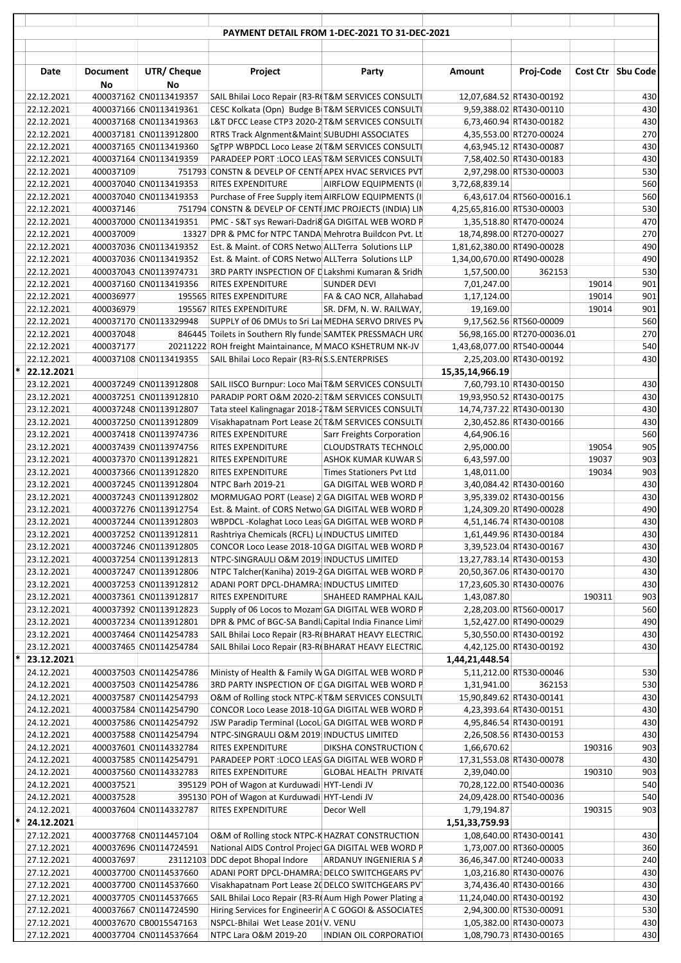| Cost Ctr Sbu Code<br><b>Document</b><br>UTR/ Cheque<br>Project<br><b>Amount</b><br>Proj-Code<br>Date<br>Party<br>No<br>No<br>400037162 CN0113419357<br>430<br>22.12.2021<br>SAIL Bhilai Loco Repair (R3-RIT&M SERVICES CONSULTI<br>12,07,684.52 RT430-00192<br>430<br>22.12.2021<br>400037166 CN0113419361<br>CESC Kolkata (Opn) Budge BIT&M SERVICES CONSULTI<br>9,59,388.02 RT430-00110<br>430<br>22.12.2021<br>400037168 CN0113419363<br>L&T DFCC Lease CTP3 2020-2 T&M SERVICES CONSULTI<br>6,73,460.94 RT430-00182<br>270<br>22.12.2021<br>400037181 CN0113912800<br>RTRS Track Algnment&Maint SUBUDHI ASSOCIATES<br>4,35,553.00 RT270-00024<br>430<br>22.12.2021<br>400037165 CN0113419360<br>SgTPP WBPDCL Loco Lease 2(T&M SERVICES CONSULTI)<br>4,63,945.12 RT430-00087<br>430<br>22.12.2021<br>400037164 CN0113419359<br>PARADEEP PORT : LOCO LEAS T&M SERVICES CONSULTI<br>7,58,402.50 RT430-00183<br>530<br>22.12.2021<br>400037109<br>751793 CONSTN & DEVELP OF CENTI APEX HVAC SERVICES PVT<br>2,97,298.00 RT530-00003<br>560<br>400037040 CN0113419353<br>22.12.2021<br><b>RITES EXPENDITURE</b><br>AIRFLOW EQUIPMENTS (II<br>3,72,68,839.14<br>560<br>400037040 CN0113419353<br>22.12.2021<br>Purchase of Free Supply item AIRFLOW EQUIPMENTS (I)<br>6,43,617.04 RT560-00016.1<br>530<br>22.12.2021<br>400037146<br>751794 CONSTN & DEVELP OF CENTI JMC PROJECTS (INDIA) LIN<br>4,25,65,816.00 RT530-00003<br>470<br>400037000 CN0113419351<br>PMC - S&T sys Rewari-Dadri8 GA DIGITAL WEB WORD P<br>22.12.2021<br>1,35,518.80 RT470-00024<br>270<br>400037009<br>22.12.2021<br>13327 DPR & PMC for NTPC TANDA Mehrotra Buildcon Pvt. Lt<br>18,74,898.00 RT270-00027<br>490<br>22.12.2021<br>400037036 CN0113419352<br>Est. & Maint. of CORS Netwo ALLTerra Solutions LLP<br>1,81,62,380.00 RT490-00028<br>490<br>22.12.2021<br>400037036 CN0113419352<br>Est. & Maint. of CORS Netwo ALLTerra Solutions LLP<br>1,34,00,670.00 RT490-00028<br>530<br>22.12.2021<br>400037043 CN0113974731<br>3RD PARTY INSPECTION OF L Lakshmi Kumaran & Sridh<br>1,57,500.00<br>362153<br>901<br>22.12.2021<br>400037160 CN0113419356<br>RITES EXPENDITURE<br><b>SUNDER DEVI</b><br>7,01,247.00<br>19014<br>901<br>22.12.2021<br>400036977<br>195565 RITES EXPENDITURE<br>FA & CAO NCR, Allahabad<br>1,17,124.00<br>19014<br>901<br>22.12.2021<br>400036979<br>195567 RITES EXPENDITURE<br>SR. DFM, N. W. RAILWAY,<br>19,169.00<br>19014<br>560<br>400037170 CN0113329948<br>22.12.2021<br>SUPPLY of 06 DMUs to Sri Lai MEDHA SERVO DRIVES PV<br>9,17,562.56 RT560-00009<br>270<br>22.12.2021<br>400037048<br>846445 Toilets in Southern Rly funde SAMTEK PRESSMACH URC<br>56,98,165.00 RT270-00036.01<br>540<br>22.12.2021<br>400037177<br>20211222 ROH freight Maintainance, M MACO KSHETRUM NK-JV<br>1,43,68,077.00 RT540-00044<br>430<br>400037108 CN0113419355<br>22.12.2021<br>SAIL Bhilai Loco Repair (R3-R(S.S.ENTERPRISES<br>2,25,203.00 RT430-00192<br>$*$ 22.12.2021<br>15,35,14,966.19<br>430<br>23.12.2021<br>400037249 CN0113912808<br>SAIL IISCO Burnpur: Loco Mai T&M SERVICES CONSULTI<br>7,60,793.10 RT430-00150<br>430<br>PARADIP PORT O&M 2020-2 T&M SERVICES CONSULTI<br>23.12.2021<br>400037251 CN0113912810<br>19,93,950.52 RT430-00175<br>430<br>23.12.2021<br>400037248 CN0113912807<br>Tata steel Kalingnagar 2018-2 T&M SERVICES CONSULTI<br>14,74,737.22 RT430-00130<br>430<br>23.12.2021<br>400037250 CN0113912809<br>Visakhapatnam Port Lease 2(T&M SERVICES CONSULTI<br>2,30,452.86 RT430-00166<br>560<br>400037418 CN0113974736<br>23.12.2021<br>RITES EXPENDITURE<br>Sarr Freights Corporation<br>4,64,906.16<br>905<br>23.12.2021<br>400037439 CN0113974756<br>RITES EXPENDITURE<br><b>CLOUDSTRATS TECHNOLC</b><br>2,95,000.00<br>19054<br>903<br>23.12.2021<br>400037370 CN0113912821<br>RITES EXPENDITURE<br>ASHOK KUMAR KUWAR SI<br>6,43,597.00<br>19037<br>903<br>23.12.2021<br>400037366 CN0113912820<br><b>RITES EXPENDITURE</b><br><b>Times Stationers Pvt Ltd</b><br>1,48,011.00<br>19034<br>430<br>23.12.2021<br>400037245 CN0113912804<br>NTPC Barh 2019-21<br><b>GA DIGITAL WEB WORD P</b><br>3,40,084.42 RT430-00160<br>430<br>23.12.2021<br>400037243 CN0113912802<br>MORMUGAO PORT (Lease) 2 GA DIGITAL WEB WORD P<br>3,95,339.02 RT430-00156<br>490<br>400037276 CN0113912754<br>1,24,309.20 RT490-00028<br>23.12.2021<br>Est. & Maint. of CORS Netwo GA DIGITAL WEB WORD P<br>430<br>23.12.2021<br>4,51,146.74 RT430-00108<br>400037244 CN0113912803<br>WBPDCL-Kolaghat Loco Leas GA DIGITAL WEB WORD P<br>430<br>23.12.2021<br>Rashtriya Chemicals (RCFL) L(INDUCTUS LIMITED<br>400037252 CN0113912811<br>1,61,449.96 RT430-00184<br>430<br>23.12.2021<br>400037246 CN0113912805<br>CONCOR Loco Lease 2018-10 GA DIGITAL WEB WORD P<br>3,39,523.04 RT430-00167<br>430<br>23.12.2021<br>400037254 CN0113912813<br>NTPC-SINGRAULI O&M 2019 INDUCTUS LIMITED<br>13,27,783.14 RT430-00153<br>430<br>400037247 CN0113912806<br>23.12.2021<br>NTPC Talcher(Kaniha) 2019-2 GA DIGITAL WEB WORD P<br>20,50,367.06 RT430-00170<br>430<br>23.12.2021<br>400037253 CN0113912812<br>ADANI PORT DPCL-DHAMRA: INDUCTUS LIMITED<br>17,23,605.30 RT430-00076<br>903<br>400037361 CN0113912817<br>23.12.2021<br>RITES EXPENDITURE<br>SHAHEED RAMPHAL KAJL<br>1,43,087.80<br>190311<br>23.12.2021<br>400037392 CN0113912823<br>560<br>Supply of 06 Locos to Mozam GA DIGITAL WEB WORD P<br>2,28,203.00 RT560-00017<br>490<br>23.12.2021<br>400037234 CN0113912801<br>DPR & PMC of BGC-SA Bandl: Capital India Finance Limi<br>1,52,427.00 RT490-00029<br>430<br>23.12.2021<br>400037464 CN0114254783<br>SAIL Bhilai Loco Repair (R3-R(BHARAT HEAVY ELECTRIC)<br>5,30,550.00 RT430-00192<br>430<br>23.12.2021<br>400037465 CN0114254784<br>SAIL Bhilai Loco Repair (R3-R(BHARAT HEAVY ELECTRIC)<br>4,42,125.00 RT430-00192<br>*<br>23.12.2021<br>1,44,21,448.54<br>530<br>24.12.2021<br>400037503 CN0114254786<br>Ministy of Health & Family W GA DIGITAL WEB WORD P<br>5,11,212.00 RT530-00046<br>24.12.2021<br>3RD PARTY INSPECTION OF DGA DIGITAL WEB WORD P<br>530<br>400037503 CN0114254786<br>1,31,941.00<br>362153<br>430<br>24.12.2021<br>400037587 CN0114254793<br>O&M of Rolling stock NTPC-K T&M SERVICES CONSULTI<br>15,90,849.62 RT430-00141<br>CONCOR Loco Lease 2018-10 GA DIGITAL WEB WORD P<br>430<br>24.12.2021<br>400037584 CN0114254790<br>4,23,393.64 RT430-00151<br>430<br>24.12.2021<br>400037586 CN0114254792<br>JSW Paradip Terminal (LocoL GA DIGITAL WEB WORD P<br>4,95,846.54 RT430-00191<br>430<br>400037588 CN0114254794<br>24.12.2021<br>NTPC-SINGRAULI O&M 2019 INDUCTUS LIMITED<br>2,26,508.56 RT430-00153<br>903<br>24.12.2021<br>400037601 CN0114332784<br>RITES EXPENDITURE<br>DIKSHA CONSTRUCTION (<br>1,66,670.62<br>190316<br>24.12.2021<br>400037585 CN0114254791<br>PARADEEP PORT : LOCO LEAS GA DIGITAL WEB WORD P<br>430<br>17,31,553.08 RT430-00078<br>903<br>24.12.2021<br>400037560 CN0114332783<br>RITES EXPENDITURE<br><b>GLOBAL HEALTH PRIVATE</b><br>2,39,040.00<br>190310<br>540<br>24.12.2021<br>395129 POH of Wagon at Kurduwadi HYT-Lendi JV<br>70,28,122.00 RT540-00036<br>400037521<br>540<br>395130 POH of Wagon at Kurduwadi HYT-Lendi JV<br>24.12.2021<br>400037528<br>24,09,428.00 RT540-00036<br>RITES EXPENDITURE<br>903<br>24.12.2021<br>400037604 CN0114332787<br>Decor Well<br>1,79,194.87<br>190315<br>24.12.2021<br>1,51,33,759.93<br>430<br>27.12.2021<br>400037768 CN0114457104<br>O&M of Rolling stock NTPC-K HAZRAT CONSTRUCTION<br>1,08,640.00 RT430-00141<br>National AIDS Control Projec GA DIGITAL WEB WORD P<br>360<br>27.12.2021<br>400037696 CN0114724591<br>1,73,007.00 RT360-00005<br>240<br>27.12.2021<br>400037697<br>23112103 DDC depot Bhopal Indore ARDANUY INGENIERIA S A<br>36,46,347.00 RT240-00033<br>400037700 CN0114537660<br>430<br>27.12.2021<br>ADANI PORT DPCL-DHAMRA: DELCO SWITCHGEARS PV<br>1,03,216.80 RT430-00076<br>430<br>27.12.2021<br>400037700 CN0114537660<br>Visakhapatnam Port Lease 20 DELCO SWITCHGEARS PV<br>3,74,436.40 RT430-00166<br>430<br>27.12.2021<br>400037705 CN0114537665<br>SAIL Bhilai Loco Repair (R3-RI Aum High Power Plating a<br>11,24,040.00 RT430-00192<br>530<br>Hiring Services for Engineerir A C GOGOI & ASSOCIATES<br>27.12.2021<br>400037667 CN0114724590<br>2,94,300.00 RT530-00091<br>430<br>27.12.2021<br>400037670 CB0015547163<br>NSPCL-Bhilai Wet Lease 201(V. VENU<br>1,05,382.00 RT430-00073<br>27.12.2021<br>400037704 CN0114537664<br>1,08,790.73 RT430-00165<br>430<br>NTPC Lara O&M 2019-20<br><b>INDIAN OIL CORPORATIOI</b> |   |  |  | PAYMENT DETAIL FROM 1-DEC-2021 TO 31-DEC-2021 |  |  |
|-----------------------------------------------------------------------------------------------------------------------------------------------------------------------------------------------------------------------------------------------------------------------------------------------------------------------------------------------------------------------------------------------------------------------------------------------------------------------------------------------------------------------------------------------------------------------------------------------------------------------------------------------------------------------------------------------------------------------------------------------------------------------------------------------------------------------------------------------------------------------------------------------------------------------------------------------------------------------------------------------------------------------------------------------------------------------------------------------------------------------------------------------------------------------------------------------------------------------------------------------------------------------------------------------------------------------------------------------------------------------------------------------------------------------------------------------------------------------------------------------------------------------------------------------------------------------------------------------------------------------------------------------------------------------------------------------------------------------------------------------------------------------------------------------------------------------------------------------------------------------------------------------------------------------------------------------------------------------------------------------------------------------------------------------------------------------------------------------------------------------------------------------------------------------------------------------------------------------------------------------------------------------------------------------------------------------------------------------------------------------------------------------------------------------------------------------------------------------------------------------------------------------------------------------------------------------------------------------------------------------------------------------------------------------------------------------------------------------------------------------------------------------------------------------------------------------------------------------------------------------------------------------------------------------------------------------------------------------------------------------------------------------------------------------------------------------------------------------------------------------------------------------------------------------------------------------------------------------------------------------------------------------------------------------------------------------------------------------------------------------------------------------------------------------------------------------------------------------------------------------------------------------------------------------------------------------------------------------------------------------------------------------------------------------------------------------------------------------------------------------------------------------------------------------------------------------------------------------------------------------------------------------------------------------------------------------------------------------------------------------------------------------------------------------------------------------------------------------------------------------------------------------------------------------------------------------------------------------------------------------------------------------------------------------------------------------------------------------------------------------------------------------------------------------------------------------------------------------------------------------------------------------------------------------------------------------------------------------------------------------------------------------------------------------------------------------------------------------------------------------------------------------------------------------------------------------------------------------------------------------------------------------------------------------------------------------------------------------------------------------------------------------------------------------------------------------------------------------------------------------------------------------------------------------------------------------------------------------------------------------------------------------------------------------------------------------------------------------------------------------------------------------------------------------------------------------------------------------------------------------------------------------------------------------------------------------------------------------------------------------------------------------------------------------------------------------------------------------------------------------------------------------------------------------------------------------------------------------------------------------------------------------------------------------------------------------------------------------------------------------------------------------------------------------------------------------------------------------------------------------------------------------------------------------------------------------------------------------------------------------------------------------------------------------------------------------------------------------------------------------------------------------------------------------------------------------------------------------------------------------------------------------------------------------------------------------------------------------------------------------------------------------------------------------------------------------------------------------------------------------------------------------------------------------------------------------------------------------------------------------------------------------------------------------------------------------------------------------------------------------------------------------------------------------------------------------------------------------------------------------------------------------------------------------------------------------------------------------------------------------------------------------------------------------------------------------------------------------------------------------------------------------------------------------------------------------------------------------------------------------------------------------------------------------------------------------------------------------------------------------------------------------------------------------------------------------------------------------------------------------------------------------------------------------------------------------------------------------------------------------------------------------------------------------------------------------------------------------------------------------------------------------------------------------------------------------------------------------------------------------------------------------------------------------------------------------------------------------------------------------------------------------------------------------------------------------------------------------------------------------------------------------------------------------------------------------------------------------------------------------------------------------------------------------------------------------------------------------------------------|---|--|--|-----------------------------------------------|--|--|
|                                                                                                                                                                                                                                                                                                                                                                                                                                                                                                                                                                                                                                                                                                                                                                                                                                                                                                                                                                                                                                                                                                                                                                                                                                                                                                                                                                                                                                                                                                                                                                                                                                                                                                                                                                                                                                                                                                                                                                                                                                                                                                                                                                                                                                                                                                                                                                                                                                                                                                                                                                                                                                                                                                                                                                                                                                                                                                                                                                                                                                                                                                                                                                                                                                                                                                                                                                                                                                                                                                                                                                                                                                                                                                                                                                                                                                                                                                                                                                                                                                                                                                                                                                                                                                                                                                                                                                                                                                                                                                                                                                                                                                                                                                                                                                                                                                                                                                                                                                                                                                                                                                                                                                                                                                                                                                                                                                                                                                                                                                                                                                                                                                                                                                                                                                                                                                                                                                                                                                                                                                                                                                                                                                                                                                                                                                                                                                                                                                                                                                                                                                                                                                                                                                                                                                                                                                                                                                                                                                                                                                                                                                                                                                                                                                                                                                                                                                                                                                                                                                                                                                                                                                                                                                                                                                                                                                                                                                                                                                                                                                                                                                                                                                                                                                                                                                                                                                                                                                                                                                                                                                                                                 |   |  |  |                                               |  |  |
|                                                                                                                                                                                                                                                                                                                                                                                                                                                                                                                                                                                                                                                                                                                                                                                                                                                                                                                                                                                                                                                                                                                                                                                                                                                                                                                                                                                                                                                                                                                                                                                                                                                                                                                                                                                                                                                                                                                                                                                                                                                                                                                                                                                                                                                                                                                                                                                                                                                                                                                                                                                                                                                                                                                                                                                                                                                                                                                                                                                                                                                                                                                                                                                                                                                                                                                                                                                                                                                                                                                                                                                                                                                                                                                                                                                                                                                                                                                                                                                                                                                                                                                                                                                                                                                                                                                                                                                                                                                                                                                                                                                                                                                                                                                                                                                                                                                                                                                                                                                                                                                                                                                                                                                                                                                                                                                                                                                                                                                                                                                                                                                                                                                                                                                                                                                                                                                                                                                                                                                                                                                                                                                                                                                                                                                                                                                                                                                                                                                                                                                                                                                                                                                                                                                                                                                                                                                                                                                                                                                                                                                                                                                                                                                                                                                                                                                                                                                                                                                                                                                                                                                                                                                                                                                                                                                                                                                                                                                                                                                                                                                                                                                                                                                                                                                                                                                                                                                                                                                                                                                                                                                                                 |   |  |  |                                               |  |  |
|                                                                                                                                                                                                                                                                                                                                                                                                                                                                                                                                                                                                                                                                                                                                                                                                                                                                                                                                                                                                                                                                                                                                                                                                                                                                                                                                                                                                                                                                                                                                                                                                                                                                                                                                                                                                                                                                                                                                                                                                                                                                                                                                                                                                                                                                                                                                                                                                                                                                                                                                                                                                                                                                                                                                                                                                                                                                                                                                                                                                                                                                                                                                                                                                                                                                                                                                                                                                                                                                                                                                                                                                                                                                                                                                                                                                                                                                                                                                                                                                                                                                                                                                                                                                                                                                                                                                                                                                                                                                                                                                                                                                                                                                                                                                                                                                                                                                                                                                                                                                                                                                                                                                                                                                                                                                                                                                                                                                                                                                                                                                                                                                                                                                                                                                                                                                                                                                                                                                                                                                                                                                                                                                                                                                                                                                                                                                                                                                                                                                                                                                                                                                                                                                                                                                                                                                                                                                                                                                                                                                                                                                                                                                                                                                                                                                                                                                                                                                                                                                                                                                                                                                                                                                                                                                                                                                                                                                                                                                                                                                                                                                                                                                                                                                                                                                                                                                                                                                                                                                                                                                                                                                                 |   |  |  |                                               |  |  |
|                                                                                                                                                                                                                                                                                                                                                                                                                                                                                                                                                                                                                                                                                                                                                                                                                                                                                                                                                                                                                                                                                                                                                                                                                                                                                                                                                                                                                                                                                                                                                                                                                                                                                                                                                                                                                                                                                                                                                                                                                                                                                                                                                                                                                                                                                                                                                                                                                                                                                                                                                                                                                                                                                                                                                                                                                                                                                                                                                                                                                                                                                                                                                                                                                                                                                                                                                                                                                                                                                                                                                                                                                                                                                                                                                                                                                                                                                                                                                                                                                                                                                                                                                                                                                                                                                                                                                                                                                                                                                                                                                                                                                                                                                                                                                                                                                                                                                                                                                                                                                                                                                                                                                                                                                                                                                                                                                                                                                                                                                                                                                                                                                                                                                                                                                                                                                                                                                                                                                                                                                                                                                                                                                                                                                                                                                                                                                                                                                                                                                                                                                                                                                                                                                                                                                                                                                                                                                                                                                                                                                                                                                                                                                                                                                                                                                                                                                                                                                                                                                                                                                                                                                                                                                                                                                                                                                                                                                                                                                                                                                                                                                                                                                                                                                                                                                                                                                                                                                                                                                                                                                                                                                 |   |  |  |                                               |  |  |
|                                                                                                                                                                                                                                                                                                                                                                                                                                                                                                                                                                                                                                                                                                                                                                                                                                                                                                                                                                                                                                                                                                                                                                                                                                                                                                                                                                                                                                                                                                                                                                                                                                                                                                                                                                                                                                                                                                                                                                                                                                                                                                                                                                                                                                                                                                                                                                                                                                                                                                                                                                                                                                                                                                                                                                                                                                                                                                                                                                                                                                                                                                                                                                                                                                                                                                                                                                                                                                                                                                                                                                                                                                                                                                                                                                                                                                                                                                                                                                                                                                                                                                                                                                                                                                                                                                                                                                                                                                                                                                                                                                                                                                                                                                                                                                                                                                                                                                                                                                                                                                                                                                                                                                                                                                                                                                                                                                                                                                                                                                                                                                                                                                                                                                                                                                                                                                                                                                                                                                                                                                                                                                                                                                                                                                                                                                                                                                                                                                                                                                                                                                                                                                                                                                                                                                                                                                                                                                                                                                                                                                                                                                                                                                                                                                                                                                                                                                                                                                                                                                                                                                                                                                                                                                                                                                                                                                                                                                                                                                                                                                                                                                                                                                                                                                                                                                                                                                                                                                                                                                                                                                                                                 |   |  |  |                                               |  |  |
|                                                                                                                                                                                                                                                                                                                                                                                                                                                                                                                                                                                                                                                                                                                                                                                                                                                                                                                                                                                                                                                                                                                                                                                                                                                                                                                                                                                                                                                                                                                                                                                                                                                                                                                                                                                                                                                                                                                                                                                                                                                                                                                                                                                                                                                                                                                                                                                                                                                                                                                                                                                                                                                                                                                                                                                                                                                                                                                                                                                                                                                                                                                                                                                                                                                                                                                                                                                                                                                                                                                                                                                                                                                                                                                                                                                                                                                                                                                                                                                                                                                                                                                                                                                                                                                                                                                                                                                                                                                                                                                                                                                                                                                                                                                                                                                                                                                                                                                                                                                                                                                                                                                                                                                                                                                                                                                                                                                                                                                                                                                                                                                                                                                                                                                                                                                                                                                                                                                                                                                                                                                                                                                                                                                                                                                                                                                                                                                                                                                                                                                                                                                                                                                                                                                                                                                                                                                                                                                                                                                                                                                                                                                                                                                                                                                                                                                                                                                                                                                                                                                                                                                                                                                                                                                                                                                                                                                                                                                                                                                                                                                                                                                                                                                                                                                                                                                                                                                                                                                                                                                                                                                                                 |   |  |  |                                               |  |  |
|                                                                                                                                                                                                                                                                                                                                                                                                                                                                                                                                                                                                                                                                                                                                                                                                                                                                                                                                                                                                                                                                                                                                                                                                                                                                                                                                                                                                                                                                                                                                                                                                                                                                                                                                                                                                                                                                                                                                                                                                                                                                                                                                                                                                                                                                                                                                                                                                                                                                                                                                                                                                                                                                                                                                                                                                                                                                                                                                                                                                                                                                                                                                                                                                                                                                                                                                                                                                                                                                                                                                                                                                                                                                                                                                                                                                                                                                                                                                                                                                                                                                                                                                                                                                                                                                                                                                                                                                                                                                                                                                                                                                                                                                                                                                                                                                                                                                                                                                                                                                                                                                                                                                                                                                                                                                                                                                                                                                                                                                                                                                                                                                                                                                                                                                                                                                                                                                                                                                                                                                                                                                                                                                                                                                                                                                                                                                                                                                                                                                                                                                                                                                                                                                                                                                                                                                                                                                                                                                                                                                                                                                                                                                                                                                                                                                                                                                                                                                                                                                                                                                                                                                                                                                                                                                                                                                                                                                                                                                                                                                                                                                                                                                                                                                                                                                                                                                                                                                                                                                                                                                                                                                                 |   |  |  |                                               |  |  |
|                                                                                                                                                                                                                                                                                                                                                                                                                                                                                                                                                                                                                                                                                                                                                                                                                                                                                                                                                                                                                                                                                                                                                                                                                                                                                                                                                                                                                                                                                                                                                                                                                                                                                                                                                                                                                                                                                                                                                                                                                                                                                                                                                                                                                                                                                                                                                                                                                                                                                                                                                                                                                                                                                                                                                                                                                                                                                                                                                                                                                                                                                                                                                                                                                                                                                                                                                                                                                                                                                                                                                                                                                                                                                                                                                                                                                                                                                                                                                                                                                                                                                                                                                                                                                                                                                                                                                                                                                                                                                                                                                                                                                                                                                                                                                                                                                                                                                                                                                                                                                                                                                                                                                                                                                                                                                                                                                                                                                                                                                                                                                                                                                                                                                                                                                                                                                                                                                                                                                                                                                                                                                                                                                                                                                                                                                                                                                                                                                                                                                                                                                                                                                                                                                                                                                                                                                                                                                                                                                                                                                                                                                                                                                                                                                                                                                                                                                                                                                                                                                                                                                                                                                                                                                                                                                                                                                                                                                                                                                                                                                                                                                                                                                                                                                                                                                                                                                                                                                                                                                                                                                                                                                 |   |  |  |                                               |  |  |
|                                                                                                                                                                                                                                                                                                                                                                                                                                                                                                                                                                                                                                                                                                                                                                                                                                                                                                                                                                                                                                                                                                                                                                                                                                                                                                                                                                                                                                                                                                                                                                                                                                                                                                                                                                                                                                                                                                                                                                                                                                                                                                                                                                                                                                                                                                                                                                                                                                                                                                                                                                                                                                                                                                                                                                                                                                                                                                                                                                                                                                                                                                                                                                                                                                                                                                                                                                                                                                                                                                                                                                                                                                                                                                                                                                                                                                                                                                                                                                                                                                                                                                                                                                                                                                                                                                                                                                                                                                                                                                                                                                                                                                                                                                                                                                                                                                                                                                                                                                                                                                                                                                                                                                                                                                                                                                                                                                                                                                                                                                                                                                                                                                                                                                                                                                                                                                                                                                                                                                                                                                                                                                                                                                                                                                                                                                                                                                                                                                                                                                                                                                                                                                                                                                                                                                                                                                                                                                                                                                                                                                                                                                                                                                                                                                                                                                                                                                                                                                                                                                                                                                                                                                                                                                                                                                                                                                                                                                                                                                                                                                                                                                                                                                                                                                                                                                                                                                                                                                                                                                                                                                                                                 |   |  |  |                                               |  |  |
|                                                                                                                                                                                                                                                                                                                                                                                                                                                                                                                                                                                                                                                                                                                                                                                                                                                                                                                                                                                                                                                                                                                                                                                                                                                                                                                                                                                                                                                                                                                                                                                                                                                                                                                                                                                                                                                                                                                                                                                                                                                                                                                                                                                                                                                                                                                                                                                                                                                                                                                                                                                                                                                                                                                                                                                                                                                                                                                                                                                                                                                                                                                                                                                                                                                                                                                                                                                                                                                                                                                                                                                                                                                                                                                                                                                                                                                                                                                                                                                                                                                                                                                                                                                                                                                                                                                                                                                                                                                                                                                                                                                                                                                                                                                                                                                                                                                                                                                                                                                                                                                                                                                                                                                                                                                                                                                                                                                                                                                                                                                                                                                                                                                                                                                                                                                                                                                                                                                                                                                                                                                                                                                                                                                                                                                                                                                                                                                                                                                                                                                                                                                                                                                                                                                                                                                                                                                                                                                                                                                                                                                                                                                                                                                                                                                                                                                                                                                                                                                                                                                                                                                                                                                                                                                                                                                                                                                                                                                                                                                                                                                                                                                                                                                                                                                                                                                                                                                                                                                                                                                                                                                                                 |   |  |  |                                               |  |  |
|                                                                                                                                                                                                                                                                                                                                                                                                                                                                                                                                                                                                                                                                                                                                                                                                                                                                                                                                                                                                                                                                                                                                                                                                                                                                                                                                                                                                                                                                                                                                                                                                                                                                                                                                                                                                                                                                                                                                                                                                                                                                                                                                                                                                                                                                                                                                                                                                                                                                                                                                                                                                                                                                                                                                                                                                                                                                                                                                                                                                                                                                                                                                                                                                                                                                                                                                                                                                                                                                                                                                                                                                                                                                                                                                                                                                                                                                                                                                                                                                                                                                                                                                                                                                                                                                                                                                                                                                                                                                                                                                                                                                                                                                                                                                                                                                                                                                                                                                                                                                                                                                                                                                                                                                                                                                                                                                                                                                                                                                                                                                                                                                                                                                                                                                                                                                                                                                                                                                                                                                                                                                                                                                                                                                                                                                                                                                                                                                                                                                                                                                                                                                                                                                                                                                                                                                                                                                                                                                                                                                                                                                                                                                                                                                                                                                                                                                                                                                                                                                                                                                                                                                                                                                                                                                                                                                                                                                                                                                                                                                                                                                                                                                                                                                                                                                                                                                                                                                                                                                                                                                                                                                                 |   |  |  |                                               |  |  |
|                                                                                                                                                                                                                                                                                                                                                                                                                                                                                                                                                                                                                                                                                                                                                                                                                                                                                                                                                                                                                                                                                                                                                                                                                                                                                                                                                                                                                                                                                                                                                                                                                                                                                                                                                                                                                                                                                                                                                                                                                                                                                                                                                                                                                                                                                                                                                                                                                                                                                                                                                                                                                                                                                                                                                                                                                                                                                                                                                                                                                                                                                                                                                                                                                                                                                                                                                                                                                                                                                                                                                                                                                                                                                                                                                                                                                                                                                                                                                                                                                                                                                                                                                                                                                                                                                                                                                                                                                                                                                                                                                                                                                                                                                                                                                                                                                                                                                                                                                                                                                                                                                                                                                                                                                                                                                                                                                                                                                                                                                                                                                                                                                                                                                                                                                                                                                                                                                                                                                                                                                                                                                                                                                                                                                                                                                                                                                                                                                                                                                                                                                                                                                                                                                                                                                                                                                                                                                                                                                                                                                                                                                                                                                                                                                                                                                                                                                                                                                                                                                                                                                                                                                                                                                                                                                                                                                                                                                                                                                                                                                                                                                                                                                                                                                                                                                                                                                                                                                                                                                                                                                                                                                 |   |  |  |                                               |  |  |
|                                                                                                                                                                                                                                                                                                                                                                                                                                                                                                                                                                                                                                                                                                                                                                                                                                                                                                                                                                                                                                                                                                                                                                                                                                                                                                                                                                                                                                                                                                                                                                                                                                                                                                                                                                                                                                                                                                                                                                                                                                                                                                                                                                                                                                                                                                                                                                                                                                                                                                                                                                                                                                                                                                                                                                                                                                                                                                                                                                                                                                                                                                                                                                                                                                                                                                                                                                                                                                                                                                                                                                                                                                                                                                                                                                                                                                                                                                                                                                                                                                                                                                                                                                                                                                                                                                                                                                                                                                                                                                                                                                                                                                                                                                                                                                                                                                                                                                                                                                                                                                                                                                                                                                                                                                                                                                                                                                                                                                                                                                                                                                                                                                                                                                                                                                                                                                                                                                                                                                                                                                                                                                                                                                                                                                                                                                                                                                                                                                                                                                                                                                                                                                                                                                                                                                                                                                                                                                                                                                                                                                                                                                                                                                                                                                                                                                                                                                                                                                                                                                                                                                                                                                                                                                                                                                                                                                                                                                                                                                                                                                                                                                                                                                                                                                                                                                                                                                                                                                                                                                                                                                                                                 |   |  |  |                                               |  |  |
|                                                                                                                                                                                                                                                                                                                                                                                                                                                                                                                                                                                                                                                                                                                                                                                                                                                                                                                                                                                                                                                                                                                                                                                                                                                                                                                                                                                                                                                                                                                                                                                                                                                                                                                                                                                                                                                                                                                                                                                                                                                                                                                                                                                                                                                                                                                                                                                                                                                                                                                                                                                                                                                                                                                                                                                                                                                                                                                                                                                                                                                                                                                                                                                                                                                                                                                                                                                                                                                                                                                                                                                                                                                                                                                                                                                                                                                                                                                                                                                                                                                                                                                                                                                                                                                                                                                                                                                                                                                                                                                                                                                                                                                                                                                                                                                                                                                                                                                                                                                                                                                                                                                                                                                                                                                                                                                                                                                                                                                                                                                                                                                                                                                                                                                                                                                                                                                                                                                                                                                                                                                                                                                                                                                                                                                                                                                                                                                                                                                                                                                                                                                                                                                                                                                                                                                                                                                                                                                                                                                                                                                                                                                                                                                                                                                                                                                                                                                                                                                                                                                                                                                                                                                                                                                                                                                                                                                                                                                                                                                                                                                                                                                                                                                                                                                                                                                                                                                                                                                                                                                                                                                                                 |   |  |  |                                               |  |  |
|                                                                                                                                                                                                                                                                                                                                                                                                                                                                                                                                                                                                                                                                                                                                                                                                                                                                                                                                                                                                                                                                                                                                                                                                                                                                                                                                                                                                                                                                                                                                                                                                                                                                                                                                                                                                                                                                                                                                                                                                                                                                                                                                                                                                                                                                                                                                                                                                                                                                                                                                                                                                                                                                                                                                                                                                                                                                                                                                                                                                                                                                                                                                                                                                                                                                                                                                                                                                                                                                                                                                                                                                                                                                                                                                                                                                                                                                                                                                                                                                                                                                                                                                                                                                                                                                                                                                                                                                                                                                                                                                                                                                                                                                                                                                                                                                                                                                                                                                                                                                                                                                                                                                                                                                                                                                                                                                                                                                                                                                                                                                                                                                                                                                                                                                                                                                                                                                                                                                                                                                                                                                                                                                                                                                                                                                                                                                                                                                                                                                                                                                                                                                                                                                                                                                                                                                                                                                                                                                                                                                                                                                                                                                                                                                                                                                                                                                                                                                                                                                                                                                                                                                                                                                                                                                                                                                                                                                                                                                                                                                                                                                                                                                                                                                                                                                                                                                                                                                                                                                                                                                                                                                                 |   |  |  |                                               |  |  |
|                                                                                                                                                                                                                                                                                                                                                                                                                                                                                                                                                                                                                                                                                                                                                                                                                                                                                                                                                                                                                                                                                                                                                                                                                                                                                                                                                                                                                                                                                                                                                                                                                                                                                                                                                                                                                                                                                                                                                                                                                                                                                                                                                                                                                                                                                                                                                                                                                                                                                                                                                                                                                                                                                                                                                                                                                                                                                                                                                                                                                                                                                                                                                                                                                                                                                                                                                                                                                                                                                                                                                                                                                                                                                                                                                                                                                                                                                                                                                                                                                                                                                                                                                                                                                                                                                                                                                                                                                                                                                                                                                                                                                                                                                                                                                                                                                                                                                                                                                                                                                                                                                                                                                                                                                                                                                                                                                                                                                                                                                                                                                                                                                                                                                                                                                                                                                                                                                                                                                                                                                                                                                                                                                                                                                                                                                                                                                                                                                                                                                                                                                                                                                                                                                                                                                                                                                                                                                                                                                                                                                                                                                                                                                                                                                                                                                                                                                                                                                                                                                                                                                                                                                                                                                                                                                                                                                                                                                                                                                                                                                                                                                                                                                                                                                                                                                                                                                                                                                                                                                                                                                                                                                 |   |  |  |                                               |  |  |
|                                                                                                                                                                                                                                                                                                                                                                                                                                                                                                                                                                                                                                                                                                                                                                                                                                                                                                                                                                                                                                                                                                                                                                                                                                                                                                                                                                                                                                                                                                                                                                                                                                                                                                                                                                                                                                                                                                                                                                                                                                                                                                                                                                                                                                                                                                                                                                                                                                                                                                                                                                                                                                                                                                                                                                                                                                                                                                                                                                                                                                                                                                                                                                                                                                                                                                                                                                                                                                                                                                                                                                                                                                                                                                                                                                                                                                                                                                                                                                                                                                                                                                                                                                                                                                                                                                                                                                                                                                                                                                                                                                                                                                                                                                                                                                                                                                                                                                                                                                                                                                                                                                                                                                                                                                                                                                                                                                                                                                                                                                                                                                                                                                                                                                                                                                                                                                                                                                                                                                                                                                                                                                                                                                                                                                                                                                                                                                                                                                                                                                                                                                                                                                                                                                                                                                                                                                                                                                                                                                                                                                                                                                                                                                                                                                                                                                                                                                                                                                                                                                                                                                                                                                                                                                                                                                                                                                                                                                                                                                                                                                                                                                                                                                                                                                                                                                                                                                                                                                                                                                                                                                                                                 |   |  |  |                                               |  |  |
|                                                                                                                                                                                                                                                                                                                                                                                                                                                                                                                                                                                                                                                                                                                                                                                                                                                                                                                                                                                                                                                                                                                                                                                                                                                                                                                                                                                                                                                                                                                                                                                                                                                                                                                                                                                                                                                                                                                                                                                                                                                                                                                                                                                                                                                                                                                                                                                                                                                                                                                                                                                                                                                                                                                                                                                                                                                                                                                                                                                                                                                                                                                                                                                                                                                                                                                                                                                                                                                                                                                                                                                                                                                                                                                                                                                                                                                                                                                                                                                                                                                                                                                                                                                                                                                                                                                                                                                                                                                                                                                                                                                                                                                                                                                                                                                                                                                                                                                                                                                                                                                                                                                                                                                                                                                                                                                                                                                                                                                                                                                                                                                                                                                                                                                                                                                                                                                                                                                                                                                                                                                                                                                                                                                                                                                                                                                                                                                                                                                                                                                                                                                                                                                                                                                                                                                                                                                                                                                                                                                                                                                                                                                                                                                                                                                                                                                                                                                                                                                                                                                                                                                                                                                                                                                                                                                                                                                                                                                                                                                                                                                                                                                                                                                                                                                                                                                                                                                                                                                                                                                                                                                                                 |   |  |  |                                               |  |  |
|                                                                                                                                                                                                                                                                                                                                                                                                                                                                                                                                                                                                                                                                                                                                                                                                                                                                                                                                                                                                                                                                                                                                                                                                                                                                                                                                                                                                                                                                                                                                                                                                                                                                                                                                                                                                                                                                                                                                                                                                                                                                                                                                                                                                                                                                                                                                                                                                                                                                                                                                                                                                                                                                                                                                                                                                                                                                                                                                                                                                                                                                                                                                                                                                                                                                                                                                                                                                                                                                                                                                                                                                                                                                                                                                                                                                                                                                                                                                                                                                                                                                                                                                                                                                                                                                                                                                                                                                                                                                                                                                                                                                                                                                                                                                                                                                                                                                                                                                                                                                                                                                                                                                                                                                                                                                                                                                                                                                                                                                                                                                                                                                                                                                                                                                                                                                                                                                                                                                                                                                                                                                                                                                                                                                                                                                                                                                                                                                                                                                                                                                                                                                                                                                                                                                                                                                                                                                                                                                                                                                                                                                                                                                                                                                                                                                                                                                                                                                                                                                                                                                                                                                                                                                                                                                                                                                                                                                                                                                                                                                                                                                                                                                                                                                                                                                                                                                                                                                                                                                                                                                                                                                                 |   |  |  |                                               |  |  |
|                                                                                                                                                                                                                                                                                                                                                                                                                                                                                                                                                                                                                                                                                                                                                                                                                                                                                                                                                                                                                                                                                                                                                                                                                                                                                                                                                                                                                                                                                                                                                                                                                                                                                                                                                                                                                                                                                                                                                                                                                                                                                                                                                                                                                                                                                                                                                                                                                                                                                                                                                                                                                                                                                                                                                                                                                                                                                                                                                                                                                                                                                                                                                                                                                                                                                                                                                                                                                                                                                                                                                                                                                                                                                                                                                                                                                                                                                                                                                                                                                                                                                                                                                                                                                                                                                                                                                                                                                                                                                                                                                                                                                                                                                                                                                                                                                                                                                                                                                                                                                                                                                                                                                                                                                                                                                                                                                                                                                                                                                                                                                                                                                                                                                                                                                                                                                                                                                                                                                                                                                                                                                                                                                                                                                                                                                                                                                                                                                                                                                                                                                                                                                                                                                                                                                                                                                                                                                                                                                                                                                                                                                                                                                                                                                                                                                                                                                                                                                                                                                                                                                                                                                                                                                                                                                                                                                                                                                                                                                                                                                                                                                                                                                                                                                                                                                                                                                                                                                                                                                                                                                                                                                 |   |  |  |                                               |  |  |
|                                                                                                                                                                                                                                                                                                                                                                                                                                                                                                                                                                                                                                                                                                                                                                                                                                                                                                                                                                                                                                                                                                                                                                                                                                                                                                                                                                                                                                                                                                                                                                                                                                                                                                                                                                                                                                                                                                                                                                                                                                                                                                                                                                                                                                                                                                                                                                                                                                                                                                                                                                                                                                                                                                                                                                                                                                                                                                                                                                                                                                                                                                                                                                                                                                                                                                                                                                                                                                                                                                                                                                                                                                                                                                                                                                                                                                                                                                                                                                                                                                                                                                                                                                                                                                                                                                                                                                                                                                                                                                                                                                                                                                                                                                                                                                                                                                                                                                                                                                                                                                                                                                                                                                                                                                                                                                                                                                                                                                                                                                                                                                                                                                                                                                                                                                                                                                                                                                                                                                                                                                                                                                                                                                                                                                                                                                                                                                                                                                                                                                                                                                                                                                                                                                                                                                                                                                                                                                                                                                                                                                                                                                                                                                                                                                                                                                                                                                                                                                                                                                                                                                                                                                                                                                                                                                                                                                                                                                                                                                                                                                                                                                                                                                                                                                                                                                                                                                                                                                                                                                                                                                                                                 |   |  |  |                                               |  |  |
|                                                                                                                                                                                                                                                                                                                                                                                                                                                                                                                                                                                                                                                                                                                                                                                                                                                                                                                                                                                                                                                                                                                                                                                                                                                                                                                                                                                                                                                                                                                                                                                                                                                                                                                                                                                                                                                                                                                                                                                                                                                                                                                                                                                                                                                                                                                                                                                                                                                                                                                                                                                                                                                                                                                                                                                                                                                                                                                                                                                                                                                                                                                                                                                                                                                                                                                                                                                                                                                                                                                                                                                                                                                                                                                                                                                                                                                                                                                                                                                                                                                                                                                                                                                                                                                                                                                                                                                                                                                                                                                                                                                                                                                                                                                                                                                                                                                                                                                                                                                                                                                                                                                                                                                                                                                                                                                                                                                                                                                                                                                                                                                                                                                                                                                                                                                                                                                                                                                                                                                                                                                                                                                                                                                                                                                                                                                                                                                                                                                                                                                                                                                                                                                                                                                                                                                                                                                                                                                                                                                                                                                                                                                                                                                                                                                                                                                                                                                                                                                                                                                                                                                                                                                                                                                                                                                                                                                                                                                                                                                                                                                                                                                                                                                                                                                                                                                                                                                                                                                                                                                                                                                                                 |   |  |  |                                               |  |  |
|                                                                                                                                                                                                                                                                                                                                                                                                                                                                                                                                                                                                                                                                                                                                                                                                                                                                                                                                                                                                                                                                                                                                                                                                                                                                                                                                                                                                                                                                                                                                                                                                                                                                                                                                                                                                                                                                                                                                                                                                                                                                                                                                                                                                                                                                                                                                                                                                                                                                                                                                                                                                                                                                                                                                                                                                                                                                                                                                                                                                                                                                                                                                                                                                                                                                                                                                                                                                                                                                                                                                                                                                                                                                                                                                                                                                                                                                                                                                                                                                                                                                                                                                                                                                                                                                                                                                                                                                                                                                                                                                                                                                                                                                                                                                                                                                                                                                                                                                                                                                                                                                                                                                                                                                                                                                                                                                                                                                                                                                                                                                                                                                                                                                                                                                                                                                                                                                                                                                                                                                                                                                                                                                                                                                                                                                                                                                                                                                                                                                                                                                                                                                                                                                                                                                                                                                                                                                                                                                                                                                                                                                                                                                                                                                                                                                                                                                                                                                                                                                                                                                                                                                                                                                                                                                                                                                                                                                                                                                                                                                                                                                                                                                                                                                                                                                                                                                                                                                                                                                                                                                                                                                                 |   |  |  |                                               |  |  |
|                                                                                                                                                                                                                                                                                                                                                                                                                                                                                                                                                                                                                                                                                                                                                                                                                                                                                                                                                                                                                                                                                                                                                                                                                                                                                                                                                                                                                                                                                                                                                                                                                                                                                                                                                                                                                                                                                                                                                                                                                                                                                                                                                                                                                                                                                                                                                                                                                                                                                                                                                                                                                                                                                                                                                                                                                                                                                                                                                                                                                                                                                                                                                                                                                                                                                                                                                                                                                                                                                                                                                                                                                                                                                                                                                                                                                                                                                                                                                                                                                                                                                                                                                                                                                                                                                                                                                                                                                                                                                                                                                                                                                                                                                                                                                                                                                                                                                                                                                                                                                                                                                                                                                                                                                                                                                                                                                                                                                                                                                                                                                                                                                                                                                                                                                                                                                                                                                                                                                                                                                                                                                                                                                                                                                                                                                                                                                                                                                                                                                                                                                                                                                                                                                                                                                                                                                                                                                                                                                                                                                                                                                                                                                                                                                                                                                                                                                                                                                                                                                                                                                                                                                                                                                                                                                                                                                                                                                                                                                                                                                                                                                                                                                                                                                                                                                                                                                                                                                                                                                                                                                                                                                 |   |  |  |                                               |  |  |
|                                                                                                                                                                                                                                                                                                                                                                                                                                                                                                                                                                                                                                                                                                                                                                                                                                                                                                                                                                                                                                                                                                                                                                                                                                                                                                                                                                                                                                                                                                                                                                                                                                                                                                                                                                                                                                                                                                                                                                                                                                                                                                                                                                                                                                                                                                                                                                                                                                                                                                                                                                                                                                                                                                                                                                                                                                                                                                                                                                                                                                                                                                                                                                                                                                                                                                                                                                                                                                                                                                                                                                                                                                                                                                                                                                                                                                                                                                                                                                                                                                                                                                                                                                                                                                                                                                                                                                                                                                                                                                                                                                                                                                                                                                                                                                                                                                                                                                                                                                                                                                                                                                                                                                                                                                                                                                                                                                                                                                                                                                                                                                                                                                                                                                                                                                                                                                                                                                                                                                                                                                                                                                                                                                                                                                                                                                                                                                                                                                                                                                                                                                                                                                                                                                                                                                                                                                                                                                                                                                                                                                                                                                                                                                                                                                                                                                                                                                                                                                                                                                                                                                                                                                                                                                                                                                                                                                                                                                                                                                                                                                                                                                                                                                                                                                                                                                                                                                                                                                                                                                                                                                                                                 |   |  |  |                                               |  |  |
|                                                                                                                                                                                                                                                                                                                                                                                                                                                                                                                                                                                                                                                                                                                                                                                                                                                                                                                                                                                                                                                                                                                                                                                                                                                                                                                                                                                                                                                                                                                                                                                                                                                                                                                                                                                                                                                                                                                                                                                                                                                                                                                                                                                                                                                                                                                                                                                                                                                                                                                                                                                                                                                                                                                                                                                                                                                                                                                                                                                                                                                                                                                                                                                                                                                                                                                                                                                                                                                                                                                                                                                                                                                                                                                                                                                                                                                                                                                                                                                                                                                                                                                                                                                                                                                                                                                                                                                                                                                                                                                                                                                                                                                                                                                                                                                                                                                                                                                                                                                                                                                                                                                                                                                                                                                                                                                                                                                                                                                                                                                                                                                                                                                                                                                                                                                                                                                                                                                                                                                                                                                                                                                                                                                                                                                                                                                                                                                                                                                                                                                                                                                                                                                                                                                                                                                                                                                                                                                                                                                                                                                                                                                                                                                                                                                                                                                                                                                                                                                                                                                                                                                                                                                                                                                                                                                                                                                                                                                                                                                                                                                                                                                                                                                                                                                                                                                                                                                                                                                                                                                                                                                                                 |   |  |  |                                               |  |  |
|                                                                                                                                                                                                                                                                                                                                                                                                                                                                                                                                                                                                                                                                                                                                                                                                                                                                                                                                                                                                                                                                                                                                                                                                                                                                                                                                                                                                                                                                                                                                                                                                                                                                                                                                                                                                                                                                                                                                                                                                                                                                                                                                                                                                                                                                                                                                                                                                                                                                                                                                                                                                                                                                                                                                                                                                                                                                                                                                                                                                                                                                                                                                                                                                                                                                                                                                                                                                                                                                                                                                                                                                                                                                                                                                                                                                                                                                                                                                                                                                                                                                                                                                                                                                                                                                                                                                                                                                                                                                                                                                                                                                                                                                                                                                                                                                                                                                                                                                                                                                                                                                                                                                                                                                                                                                                                                                                                                                                                                                                                                                                                                                                                                                                                                                                                                                                                                                                                                                                                                                                                                                                                                                                                                                                                                                                                                                                                                                                                                                                                                                                                                                                                                                                                                                                                                                                                                                                                                                                                                                                                                                                                                                                                                                                                                                                                                                                                                                                                                                                                                                                                                                                                                                                                                                                                                                                                                                                                                                                                                                                                                                                                                                                                                                                                                                                                                                                                                                                                                                                                                                                                                                                 |   |  |  |                                               |  |  |
|                                                                                                                                                                                                                                                                                                                                                                                                                                                                                                                                                                                                                                                                                                                                                                                                                                                                                                                                                                                                                                                                                                                                                                                                                                                                                                                                                                                                                                                                                                                                                                                                                                                                                                                                                                                                                                                                                                                                                                                                                                                                                                                                                                                                                                                                                                                                                                                                                                                                                                                                                                                                                                                                                                                                                                                                                                                                                                                                                                                                                                                                                                                                                                                                                                                                                                                                                                                                                                                                                                                                                                                                                                                                                                                                                                                                                                                                                                                                                                                                                                                                                                                                                                                                                                                                                                                                                                                                                                                                                                                                                                                                                                                                                                                                                                                                                                                                                                                                                                                                                                                                                                                                                                                                                                                                                                                                                                                                                                                                                                                                                                                                                                                                                                                                                                                                                                                                                                                                                                                                                                                                                                                                                                                                                                                                                                                                                                                                                                                                                                                                                                                                                                                                                                                                                                                                                                                                                                                                                                                                                                                                                                                                                                                                                                                                                                                                                                                                                                                                                                                                                                                                                                                                                                                                                                                                                                                                                                                                                                                                                                                                                                                                                                                                                                                                                                                                                                                                                                                                                                                                                                                                                 |   |  |  |                                               |  |  |
|                                                                                                                                                                                                                                                                                                                                                                                                                                                                                                                                                                                                                                                                                                                                                                                                                                                                                                                                                                                                                                                                                                                                                                                                                                                                                                                                                                                                                                                                                                                                                                                                                                                                                                                                                                                                                                                                                                                                                                                                                                                                                                                                                                                                                                                                                                                                                                                                                                                                                                                                                                                                                                                                                                                                                                                                                                                                                                                                                                                                                                                                                                                                                                                                                                                                                                                                                                                                                                                                                                                                                                                                                                                                                                                                                                                                                                                                                                                                                                                                                                                                                                                                                                                                                                                                                                                                                                                                                                                                                                                                                                                                                                                                                                                                                                                                                                                                                                                                                                                                                                                                                                                                                                                                                                                                                                                                                                                                                                                                                                                                                                                                                                                                                                                                                                                                                                                                                                                                                                                                                                                                                                                                                                                                                                                                                                                                                                                                                                                                                                                                                                                                                                                                                                                                                                                                                                                                                                                                                                                                                                                                                                                                                                                                                                                                                                                                                                                                                                                                                                                                                                                                                                                                                                                                                                                                                                                                                                                                                                                                                                                                                                                                                                                                                                                                                                                                                                                                                                                                                                                                                                                                                 |   |  |  |                                               |  |  |
|                                                                                                                                                                                                                                                                                                                                                                                                                                                                                                                                                                                                                                                                                                                                                                                                                                                                                                                                                                                                                                                                                                                                                                                                                                                                                                                                                                                                                                                                                                                                                                                                                                                                                                                                                                                                                                                                                                                                                                                                                                                                                                                                                                                                                                                                                                                                                                                                                                                                                                                                                                                                                                                                                                                                                                                                                                                                                                                                                                                                                                                                                                                                                                                                                                                                                                                                                                                                                                                                                                                                                                                                                                                                                                                                                                                                                                                                                                                                                                                                                                                                                                                                                                                                                                                                                                                                                                                                                                                                                                                                                                                                                                                                                                                                                                                                                                                                                                                                                                                                                                                                                                                                                                                                                                                                                                                                                                                                                                                                                                                                                                                                                                                                                                                                                                                                                                                                                                                                                                                                                                                                                                                                                                                                                                                                                                                                                                                                                                                                                                                                                                                                                                                                                                                                                                                                                                                                                                                                                                                                                                                                                                                                                                                                                                                                                                                                                                                                                                                                                                                                                                                                                                                                                                                                                                                                                                                                                                                                                                                                                                                                                                                                                                                                                                                                                                                                                                                                                                                                                                                                                                                                                 |   |  |  |                                               |  |  |
|                                                                                                                                                                                                                                                                                                                                                                                                                                                                                                                                                                                                                                                                                                                                                                                                                                                                                                                                                                                                                                                                                                                                                                                                                                                                                                                                                                                                                                                                                                                                                                                                                                                                                                                                                                                                                                                                                                                                                                                                                                                                                                                                                                                                                                                                                                                                                                                                                                                                                                                                                                                                                                                                                                                                                                                                                                                                                                                                                                                                                                                                                                                                                                                                                                                                                                                                                                                                                                                                                                                                                                                                                                                                                                                                                                                                                                                                                                                                                                                                                                                                                                                                                                                                                                                                                                                                                                                                                                                                                                                                                                                                                                                                                                                                                                                                                                                                                                                                                                                                                                                                                                                                                                                                                                                                                                                                                                                                                                                                                                                                                                                                                                                                                                                                                                                                                                                                                                                                                                                                                                                                                                                                                                                                                                                                                                                                                                                                                                                                                                                                                                                                                                                                                                                                                                                                                                                                                                                                                                                                                                                                                                                                                                                                                                                                                                                                                                                                                                                                                                                                                                                                                                                                                                                                                                                                                                                                                                                                                                                                                                                                                                                                                                                                                                                                                                                                                                                                                                                                                                                                                                                                                 |   |  |  |                                               |  |  |
|                                                                                                                                                                                                                                                                                                                                                                                                                                                                                                                                                                                                                                                                                                                                                                                                                                                                                                                                                                                                                                                                                                                                                                                                                                                                                                                                                                                                                                                                                                                                                                                                                                                                                                                                                                                                                                                                                                                                                                                                                                                                                                                                                                                                                                                                                                                                                                                                                                                                                                                                                                                                                                                                                                                                                                                                                                                                                                                                                                                                                                                                                                                                                                                                                                                                                                                                                                                                                                                                                                                                                                                                                                                                                                                                                                                                                                                                                                                                                                                                                                                                                                                                                                                                                                                                                                                                                                                                                                                                                                                                                                                                                                                                                                                                                                                                                                                                                                                                                                                                                                                                                                                                                                                                                                                                                                                                                                                                                                                                                                                                                                                                                                                                                                                                                                                                                                                                                                                                                                                                                                                                                                                                                                                                                                                                                                                                                                                                                                                                                                                                                                                                                                                                                                                                                                                                                                                                                                                                                                                                                                                                                                                                                                                                                                                                                                                                                                                                                                                                                                                                                                                                                                                                                                                                                                                                                                                                                                                                                                                                                                                                                                                                                                                                                                                                                                                                                                                                                                                                                                                                                                                                                 |   |  |  |                                               |  |  |
|                                                                                                                                                                                                                                                                                                                                                                                                                                                                                                                                                                                                                                                                                                                                                                                                                                                                                                                                                                                                                                                                                                                                                                                                                                                                                                                                                                                                                                                                                                                                                                                                                                                                                                                                                                                                                                                                                                                                                                                                                                                                                                                                                                                                                                                                                                                                                                                                                                                                                                                                                                                                                                                                                                                                                                                                                                                                                                                                                                                                                                                                                                                                                                                                                                                                                                                                                                                                                                                                                                                                                                                                                                                                                                                                                                                                                                                                                                                                                                                                                                                                                                                                                                                                                                                                                                                                                                                                                                                                                                                                                                                                                                                                                                                                                                                                                                                                                                                                                                                                                                                                                                                                                                                                                                                                                                                                                                                                                                                                                                                                                                                                                                                                                                                                                                                                                                                                                                                                                                                                                                                                                                                                                                                                                                                                                                                                                                                                                                                                                                                                                                                                                                                                                                                                                                                                                                                                                                                                                                                                                                                                                                                                                                                                                                                                                                                                                                                                                                                                                                                                                                                                                                                                                                                                                                                                                                                                                                                                                                                                                                                                                                                                                                                                                                                                                                                                                                                                                                                                                                                                                                                                                 |   |  |  |                                               |  |  |
|                                                                                                                                                                                                                                                                                                                                                                                                                                                                                                                                                                                                                                                                                                                                                                                                                                                                                                                                                                                                                                                                                                                                                                                                                                                                                                                                                                                                                                                                                                                                                                                                                                                                                                                                                                                                                                                                                                                                                                                                                                                                                                                                                                                                                                                                                                                                                                                                                                                                                                                                                                                                                                                                                                                                                                                                                                                                                                                                                                                                                                                                                                                                                                                                                                                                                                                                                                                                                                                                                                                                                                                                                                                                                                                                                                                                                                                                                                                                                                                                                                                                                                                                                                                                                                                                                                                                                                                                                                                                                                                                                                                                                                                                                                                                                                                                                                                                                                                                                                                                                                                                                                                                                                                                                                                                                                                                                                                                                                                                                                                                                                                                                                                                                                                                                                                                                                                                                                                                                                                                                                                                                                                                                                                                                                                                                                                                                                                                                                                                                                                                                                                                                                                                                                                                                                                                                                                                                                                                                                                                                                                                                                                                                                                                                                                                                                                                                                                                                                                                                                                                                                                                                                                                                                                                                                                                                                                                                                                                                                                                                                                                                                                                                                                                                                                                                                                                                                                                                                                                                                                                                                                                                 |   |  |  |                                               |  |  |
|                                                                                                                                                                                                                                                                                                                                                                                                                                                                                                                                                                                                                                                                                                                                                                                                                                                                                                                                                                                                                                                                                                                                                                                                                                                                                                                                                                                                                                                                                                                                                                                                                                                                                                                                                                                                                                                                                                                                                                                                                                                                                                                                                                                                                                                                                                                                                                                                                                                                                                                                                                                                                                                                                                                                                                                                                                                                                                                                                                                                                                                                                                                                                                                                                                                                                                                                                                                                                                                                                                                                                                                                                                                                                                                                                                                                                                                                                                                                                                                                                                                                                                                                                                                                                                                                                                                                                                                                                                                                                                                                                                                                                                                                                                                                                                                                                                                                                                                                                                                                                                                                                                                                                                                                                                                                                                                                                                                                                                                                                                                                                                                                                                                                                                                                                                                                                                                                                                                                                                                                                                                                                                                                                                                                                                                                                                                                                                                                                                                                                                                                                                                                                                                                                                                                                                                                                                                                                                                                                                                                                                                                                                                                                                                                                                                                                                                                                                                                                                                                                                                                                                                                                                                                                                                                                                                                                                                                                                                                                                                                                                                                                                                                                                                                                                                                                                                                                                                                                                                                                                                                                                                                                 |   |  |  |                                               |  |  |
|                                                                                                                                                                                                                                                                                                                                                                                                                                                                                                                                                                                                                                                                                                                                                                                                                                                                                                                                                                                                                                                                                                                                                                                                                                                                                                                                                                                                                                                                                                                                                                                                                                                                                                                                                                                                                                                                                                                                                                                                                                                                                                                                                                                                                                                                                                                                                                                                                                                                                                                                                                                                                                                                                                                                                                                                                                                                                                                                                                                                                                                                                                                                                                                                                                                                                                                                                                                                                                                                                                                                                                                                                                                                                                                                                                                                                                                                                                                                                                                                                                                                                                                                                                                                                                                                                                                                                                                                                                                                                                                                                                                                                                                                                                                                                                                                                                                                                                                                                                                                                                                                                                                                                                                                                                                                                                                                                                                                                                                                                                                                                                                                                                                                                                                                                                                                                                                                                                                                                                                                                                                                                                                                                                                                                                                                                                                                                                                                                                                                                                                                                                                                                                                                                                                                                                                                                                                                                                                                                                                                                                                                                                                                                                                                                                                                                                                                                                                                                                                                                                                                                                                                                                                                                                                                                                                                                                                                                                                                                                                                                                                                                                                                                                                                                                                                                                                                                                                                                                                                                                                                                                                                                 |   |  |  |                                               |  |  |
|                                                                                                                                                                                                                                                                                                                                                                                                                                                                                                                                                                                                                                                                                                                                                                                                                                                                                                                                                                                                                                                                                                                                                                                                                                                                                                                                                                                                                                                                                                                                                                                                                                                                                                                                                                                                                                                                                                                                                                                                                                                                                                                                                                                                                                                                                                                                                                                                                                                                                                                                                                                                                                                                                                                                                                                                                                                                                                                                                                                                                                                                                                                                                                                                                                                                                                                                                                                                                                                                                                                                                                                                                                                                                                                                                                                                                                                                                                                                                                                                                                                                                                                                                                                                                                                                                                                                                                                                                                                                                                                                                                                                                                                                                                                                                                                                                                                                                                                                                                                                                                                                                                                                                                                                                                                                                                                                                                                                                                                                                                                                                                                                                                                                                                                                                                                                                                                                                                                                                                                                                                                                                                                                                                                                                                                                                                                                                                                                                                                                                                                                                                                                                                                                                                                                                                                                                                                                                                                                                                                                                                                                                                                                                                                                                                                                                                                                                                                                                                                                                                                                                                                                                                                                                                                                                                                                                                                                                                                                                                                                                                                                                                                                                                                                                                                                                                                                                                                                                                                                                                                                                                                                                 |   |  |  |                                               |  |  |
|                                                                                                                                                                                                                                                                                                                                                                                                                                                                                                                                                                                                                                                                                                                                                                                                                                                                                                                                                                                                                                                                                                                                                                                                                                                                                                                                                                                                                                                                                                                                                                                                                                                                                                                                                                                                                                                                                                                                                                                                                                                                                                                                                                                                                                                                                                                                                                                                                                                                                                                                                                                                                                                                                                                                                                                                                                                                                                                                                                                                                                                                                                                                                                                                                                                                                                                                                                                                                                                                                                                                                                                                                                                                                                                                                                                                                                                                                                                                                                                                                                                                                                                                                                                                                                                                                                                                                                                                                                                                                                                                                                                                                                                                                                                                                                                                                                                                                                                                                                                                                                                                                                                                                                                                                                                                                                                                                                                                                                                                                                                                                                                                                                                                                                                                                                                                                                                                                                                                                                                                                                                                                                                                                                                                                                                                                                                                                                                                                                                                                                                                                                                                                                                                                                                                                                                                                                                                                                                                                                                                                                                                                                                                                                                                                                                                                                                                                                                                                                                                                                                                                                                                                                                                                                                                                                                                                                                                                                                                                                                                                                                                                                                                                                                                                                                                                                                                                                                                                                                                                                                                                                                                                 |   |  |  |                                               |  |  |
|                                                                                                                                                                                                                                                                                                                                                                                                                                                                                                                                                                                                                                                                                                                                                                                                                                                                                                                                                                                                                                                                                                                                                                                                                                                                                                                                                                                                                                                                                                                                                                                                                                                                                                                                                                                                                                                                                                                                                                                                                                                                                                                                                                                                                                                                                                                                                                                                                                                                                                                                                                                                                                                                                                                                                                                                                                                                                                                                                                                                                                                                                                                                                                                                                                                                                                                                                                                                                                                                                                                                                                                                                                                                                                                                                                                                                                                                                                                                                                                                                                                                                                                                                                                                                                                                                                                                                                                                                                                                                                                                                                                                                                                                                                                                                                                                                                                                                                                                                                                                                                                                                                                                                                                                                                                                                                                                                                                                                                                                                                                                                                                                                                                                                                                                                                                                                                                                                                                                                                                                                                                                                                                                                                                                                                                                                                                                                                                                                                                                                                                                                                                                                                                                                                                                                                                                                                                                                                                                                                                                                                                                                                                                                                                                                                                                                                                                                                                                                                                                                                                                                                                                                                                                                                                                                                                                                                                                                                                                                                                                                                                                                                                                                                                                                                                                                                                                                                                                                                                                                                                                                                                                                 |   |  |  |                                               |  |  |
|                                                                                                                                                                                                                                                                                                                                                                                                                                                                                                                                                                                                                                                                                                                                                                                                                                                                                                                                                                                                                                                                                                                                                                                                                                                                                                                                                                                                                                                                                                                                                                                                                                                                                                                                                                                                                                                                                                                                                                                                                                                                                                                                                                                                                                                                                                                                                                                                                                                                                                                                                                                                                                                                                                                                                                                                                                                                                                                                                                                                                                                                                                                                                                                                                                                                                                                                                                                                                                                                                                                                                                                                                                                                                                                                                                                                                                                                                                                                                                                                                                                                                                                                                                                                                                                                                                                                                                                                                                                                                                                                                                                                                                                                                                                                                                                                                                                                                                                                                                                                                                                                                                                                                                                                                                                                                                                                                                                                                                                                                                                                                                                                                                                                                                                                                                                                                                                                                                                                                                                                                                                                                                                                                                                                                                                                                                                                                                                                                                                                                                                                                                                                                                                                                                                                                                                                                                                                                                                                                                                                                                                                                                                                                                                                                                                                                                                                                                                                                                                                                                                                                                                                                                                                                                                                                                                                                                                                                                                                                                                                                                                                                                                                                                                                                                                                                                                                                                                                                                                                                                                                                                                                                 |   |  |  |                                               |  |  |
|                                                                                                                                                                                                                                                                                                                                                                                                                                                                                                                                                                                                                                                                                                                                                                                                                                                                                                                                                                                                                                                                                                                                                                                                                                                                                                                                                                                                                                                                                                                                                                                                                                                                                                                                                                                                                                                                                                                                                                                                                                                                                                                                                                                                                                                                                                                                                                                                                                                                                                                                                                                                                                                                                                                                                                                                                                                                                                                                                                                                                                                                                                                                                                                                                                                                                                                                                                                                                                                                                                                                                                                                                                                                                                                                                                                                                                                                                                                                                                                                                                                                                                                                                                                                                                                                                                                                                                                                                                                                                                                                                                                                                                                                                                                                                                                                                                                                                                                                                                                                                                                                                                                                                                                                                                                                                                                                                                                                                                                                                                                                                                                                                                                                                                                                                                                                                                                                                                                                                                                                                                                                                                                                                                                                                                                                                                                                                                                                                                                                                                                                                                                                                                                                                                                                                                                                                                                                                                                                                                                                                                                                                                                                                                                                                                                                                                                                                                                                                                                                                                                                                                                                                                                                                                                                                                                                                                                                                                                                                                                                                                                                                                                                                                                                                                                                                                                                                                                                                                                                                                                                                                                                                 |   |  |  |                                               |  |  |
|                                                                                                                                                                                                                                                                                                                                                                                                                                                                                                                                                                                                                                                                                                                                                                                                                                                                                                                                                                                                                                                                                                                                                                                                                                                                                                                                                                                                                                                                                                                                                                                                                                                                                                                                                                                                                                                                                                                                                                                                                                                                                                                                                                                                                                                                                                                                                                                                                                                                                                                                                                                                                                                                                                                                                                                                                                                                                                                                                                                                                                                                                                                                                                                                                                                                                                                                                                                                                                                                                                                                                                                                                                                                                                                                                                                                                                                                                                                                                                                                                                                                                                                                                                                                                                                                                                                                                                                                                                                                                                                                                                                                                                                                                                                                                                                                                                                                                                                                                                                                                                                                                                                                                                                                                                                                                                                                                                                                                                                                                                                                                                                                                                                                                                                                                                                                                                                                                                                                                                                                                                                                                                                                                                                                                                                                                                                                                                                                                                                                                                                                                                                                                                                                                                                                                                                                                                                                                                                                                                                                                                                                                                                                                                                                                                                                                                                                                                                                                                                                                                                                                                                                                                                                                                                                                                                                                                                                                                                                                                                                                                                                                                                                                                                                                                                                                                                                                                                                                                                                                                                                                                                                                 |   |  |  |                                               |  |  |
|                                                                                                                                                                                                                                                                                                                                                                                                                                                                                                                                                                                                                                                                                                                                                                                                                                                                                                                                                                                                                                                                                                                                                                                                                                                                                                                                                                                                                                                                                                                                                                                                                                                                                                                                                                                                                                                                                                                                                                                                                                                                                                                                                                                                                                                                                                                                                                                                                                                                                                                                                                                                                                                                                                                                                                                                                                                                                                                                                                                                                                                                                                                                                                                                                                                                                                                                                                                                                                                                                                                                                                                                                                                                                                                                                                                                                                                                                                                                                                                                                                                                                                                                                                                                                                                                                                                                                                                                                                                                                                                                                                                                                                                                                                                                                                                                                                                                                                                                                                                                                                                                                                                                                                                                                                                                                                                                                                                                                                                                                                                                                                                                                                                                                                                                                                                                                                                                                                                                                                                                                                                                                                                                                                                                                                                                                                                                                                                                                                                                                                                                                                                                                                                                                                                                                                                                                                                                                                                                                                                                                                                                                                                                                                                                                                                                                                                                                                                                                                                                                                                                                                                                                                                                                                                                                                                                                                                                                                                                                                                                                                                                                                                                                                                                                                                                                                                                                                                                                                                                                                                                                                                                                 |   |  |  |                                               |  |  |
|                                                                                                                                                                                                                                                                                                                                                                                                                                                                                                                                                                                                                                                                                                                                                                                                                                                                                                                                                                                                                                                                                                                                                                                                                                                                                                                                                                                                                                                                                                                                                                                                                                                                                                                                                                                                                                                                                                                                                                                                                                                                                                                                                                                                                                                                                                                                                                                                                                                                                                                                                                                                                                                                                                                                                                                                                                                                                                                                                                                                                                                                                                                                                                                                                                                                                                                                                                                                                                                                                                                                                                                                                                                                                                                                                                                                                                                                                                                                                                                                                                                                                                                                                                                                                                                                                                                                                                                                                                                                                                                                                                                                                                                                                                                                                                                                                                                                                                                                                                                                                                                                                                                                                                                                                                                                                                                                                                                                                                                                                                                                                                                                                                                                                                                                                                                                                                                                                                                                                                                                                                                                                                                                                                                                                                                                                                                                                                                                                                                                                                                                                                                                                                                                                                                                                                                                                                                                                                                                                                                                                                                                                                                                                                                                                                                                                                                                                                                                                                                                                                                                                                                                                                                                                                                                                                                                                                                                                                                                                                                                                                                                                                                                                                                                                                                                                                                                                                                                                                                                                                                                                                                                                 |   |  |  |                                               |  |  |
|                                                                                                                                                                                                                                                                                                                                                                                                                                                                                                                                                                                                                                                                                                                                                                                                                                                                                                                                                                                                                                                                                                                                                                                                                                                                                                                                                                                                                                                                                                                                                                                                                                                                                                                                                                                                                                                                                                                                                                                                                                                                                                                                                                                                                                                                                                                                                                                                                                                                                                                                                                                                                                                                                                                                                                                                                                                                                                                                                                                                                                                                                                                                                                                                                                                                                                                                                                                                                                                                                                                                                                                                                                                                                                                                                                                                                                                                                                                                                                                                                                                                                                                                                                                                                                                                                                                                                                                                                                                                                                                                                                                                                                                                                                                                                                                                                                                                                                                                                                                                                                                                                                                                                                                                                                                                                                                                                                                                                                                                                                                                                                                                                                                                                                                                                                                                                                                                                                                                                                                                                                                                                                                                                                                                                                                                                                                                                                                                                                                                                                                                                                                                                                                                                                                                                                                                                                                                                                                                                                                                                                                                                                                                                                                                                                                                                                                                                                                                                                                                                                                                                                                                                                                                                                                                                                                                                                                                                                                                                                                                                                                                                                                                                                                                                                                                                                                                                                                                                                                                                                                                                                                                                 |   |  |  |                                               |  |  |
|                                                                                                                                                                                                                                                                                                                                                                                                                                                                                                                                                                                                                                                                                                                                                                                                                                                                                                                                                                                                                                                                                                                                                                                                                                                                                                                                                                                                                                                                                                                                                                                                                                                                                                                                                                                                                                                                                                                                                                                                                                                                                                                                                                                                                                                                                                                                                                                                                                                                                                                                                                                                                                                                                                                                                                                                                                                                                                                                                                                                                                                                                                                                                                                                                                                                                                                                                                                                                                                                                                                                                                                                                                                                                                                                                                                                                                                                                                                                                                                                                                                                                                                                                                                                                                                                                                                                                                                                                                                                                                                                                                                                                                                                                                                                                                                                                                                                                                                                                                                                                                                                                                                                                                                                                                                                                                                                                                                                                                                                                                                                                                                                                                                                                                                                                                                                                                                                                                                                                                                                                                                                                                                                                                                                                                                                                                                                                                                                                                                                                                                                                                                                                                                                                                                                                                                                                                                                                                                                                                                                                                                                                                                                                                                                                                                                                                                                                                                                                                                                                                                                                                                                                                                                                                                                                                                                                                                                                                                                                                                                                                                                                                                                                                                                                                                                                                                                                                                                                                                                                                                                                                                                                 |   |  |  |                                               |  |  |
|                                                                                                                                                                                                                                                                                                                                                                                                                                                                                                                                                                                                                                                                                                                                                                                                                                                                                                                                                                                                                                                                                                                                                                                                                                                                                                                                                                                                                                                                                                                                                                                                                                                                                                                                                                                                                                                                                                                                                                                                                                                                                                                                                                                                                                                                                                                                                                                                                                                                                                                                                                                                                                                                                                                                                                                                                                                                                                                                                                                                                                                                                                                                                                                                                                                                                                                                                                                                                                                                                                                                                                                                                                                                                                                                                                                                                                                                                                                                                                                                                                                                                                                                                                                                                                                                                                                                                                                                                                                                                                                                                                                                                                                                                                                                                                                                                                                                                                                                                                                                                                                                                                                                                                                                                                                                                                                                                                                                                                                                                                                                                                                                                                                                                                                                                                                                                                                                                                                                                                                                                                                                                                                                                                                                                                                                                                                                                                                                                                                                                                                                                                                                                                                                                                                                                                                                                                                                                                                                                                                                                                                                                                                                                                                                                                                                                                                                                                                                                                                                                                                                                                                                                                                                                                                                                                                                                                                                                                                                                                                                                                                                                                                                                                                                                                                                                                                                                                                                                                                                                                                                                                                                                 |   |  |  |                                               |  |  |
|                                                                                                                                                                                                                                                                                                                                                                                                                                                                                                                                                                                                                                                                                                                                                                                                                                                                                                                                                                                                                                                                                                                                                                                                                                                                                                                                                                                                                                                                                                                                                                                                                                                                                                                                                                                                                                                                                                                                                                                                                                                                                                                                                                                                                                                                                                                                                                                                                                                                                                                                                                                                                                                                                                                                                                                                                                                                                                                                                                                                                                                                                                                                                                                                                                                                                                                                                                                                                                                                                                                                                                                                                                                                                                                                                                                                                                                                                                                                                                                                                                                                                                                                                                                                                                                                                                                                                                                                                                                                                                                                                                                                                                                                                                                                                                                                                                                                                                                                                                                                                                                                                                                                                                                                                                                                                                                                                                                                                                                                                                                                                                                                                                                                                                                                                                                                                                                                                                                                                                                                                                                                                                                                                                                                                                                                                                                                                                                                                                                                                                                                                                                                                                                                                                                                                                                                                                                                                                                                                                                                                                                                                                                                                                                                                                                                                                                                                                                                                                                                                                                                                                                                                                                                                                                                                                                                                                                                                                                                                                                                                                                                                                                                                                                                                                                                                                                                                                                                                                                                                                                                                                                                                 |   |  |  |                                               |  |  |
|                                                                                                                                                                                                                                                                                                                                                                                                                                                                                                                                                                                                                                                                                                                                                                                                                                                                                                                                                                                                                                                                                                                                                                                                                                                                                                                                                                                                                                                                                                                                                                                                                                                                                                                                                                                                                                                                                                                                                                                                                                                                                                                                                                                                                                                                                                                                                                                                                                                                                                                                                                                                                                                                                                                                                                                                                                                                                                                                                                                                                                                                                                                                                                                                                                                                                                                                                                                                                                                                                                                                                                                                                                                                                                                                                                                                                                                                                                                                                                                                                                                                                                                                                                                                                                                                                                                                                                                                                                                                                                                                                                                                                                                                                                                                                                                                                                                                                                                                                                                                                                                                                                                                                                                                                                                                                                                                                                                                                                                                                                                                                                                                                                                                                                                                                                                                                                                                                                                                                                                                                                                                                                                                                                                                                                                                                                                                                                                                                                                                                                                                                                                                                                                                                                                                                                                                                                                                                                                                                                                                                                                                                                                                                                                                                                                                                                                                                                                                                                                                                                                                                                                                                                                                                                                                                                                                                                                                                                                                                                                                                                                                                                                                                                                                                                                                                                                                                                                                                                                                                                                                                                                                                 |   |  |  |                                               |  |  |
|                                                                                                                                                                                                                                                                                                                                                                                                                                                                                                                                                                                                                                                                                                                                                                                                                                                                                                                                                                                                                                                                                                                                                                                                                                                                                                                                                                                                                                                                                                                                                                                                                                                                                                                                                                                                                                                                                                                                                                                                                                                                                                                                                                                                                                                                                                                                                                                                                                                                                                                                                                                                                                                                                                                                                                                                                                                                                                                                                                                                                                                                                                                                                                                                                                                                                                                                                                                                                                                                                                                                                                                                                                                                                                                                                                                                                                                                                                                                                                                                                                                                                                                                                                                                                                                                                                                                                                                                                                                                                                                                                                                                                                                                                                                                                                                                                                                                                                                                                                                                                                                                                                                                                                                                                                                                                                                                                                                                                                                                                                                                                                                                                                                                                                                                                                                                                                                                                                                                                                                                                                                                                                                                                                                                                                                                                                                                                                                                                                                                                                                                                                                                                                                                                                                                                                                                                                                                                                                                                                                                                                                                                                                                                                                                                                                                                                                                                                                                                                                                                                                                                                                                                                                                                                                                                                                                                                                                                                                                                                                                                                                                                                                                                                                                                                                                                                                                                                                                                                                                                                                                                                                                                 |   |  |  |                                               |  |  |
|                                                                                                                                                                                                                                                                                                                                                                                                                                                                                                                                                                                                                                                                                                                                                                                                                                                                                                                                                                                                                                                                                                                                                                                                                                                                                                                                                                                                                                                                                                                                                                                                                                                                                                                                                                                                                                                                                                                                                                                                                                                                                                                                                                                                                                                                                                                                                                                                                                                                                                                                                                                                                                                                                                                                                                                                                                                                                                                                                                                                                                                                                                                                                                                                                                                                                                                                                                                                                                                                                                                                                                                                                                                                                                                                                                                                                                                                                                                                                                                                                                                                                                                                                                                                                                                                                                                                                                                                                                                                                                                                                                                                                                                                                                                                                                                                                                                                                                                                                                                                                                                                                                                                                                                                                                                                                                                                                                                                                                                                                                                                                                                                                                                                                                                                                                                                                                                                                                                                                                                                                                                                                                                                                                                                                                                                                                                                                                                                                                                                                                                                                                                                                                                                                                                                                                                                                                                                                                                                                                                                                                                                                                                                                                                                                                                                                                                                                                                                                                                                                                                                                                                                                                                                                                                                                                                                                                                                                                                                                                                                                                                                                                                                                                                                                                                                                                                                                                                                                                                                                                                                                                                                                 |   |  |  |                                               |  |  |
|                                                                                                                                                                                                                                                                                                                                                                                                                                                                                                                                                                                                                                                                                                                                                                                                                                                                                                                                                                                                                                                                                                                                                                                                                                                                                                                                                                                                                                                                                                                                                                                                                                                                                                                                                                                                                                                                                                                                                                                                                                                                                                                                                                                                                                                                                                                                                                                                                                                                                                                                                                                                                                                                                                                                                                                                                                                                                                                                                                                                                                                                                                                                                                                                                                                                                                                                                                                                                                                                                                                                                                                                                                                                                                                                                                                                                                                                                                                                                                                                                                                                                                                                                                                                                                                                                                                                                                                                                                                                                                                                                                                                                                                                                                                                                                                                                                                                                                                                                                                                                                                                                                                                                                                                                                                                                                                                                                                                                                                                                                                                                                                                                                                                                                                                                                                                                                                                                                                                                                                                                                                                                                                                                                                                                                                                                                                                                                                                                                                                                                                                                                                                                                                                                                                                                                                                                                                                                                                                                                                                                                                                                                                                                                                                                                                                                                                                                                                                                                                                                                                                                                                                                                                                                                                                                                                                                                                                                                                                                                                                                                                                                                                                                                                                                                                                                                                                                                                                                                                                                                                                                                                                                 | ∗ |  |  |                                               |  |  |
|                                                                                                                                                                                                                                                                                                                                                                                                                                                                                                                                                                                                                                                                                                                                                                                                                                                                                                                                                                                                                                                                                                                                                                                                                                                                                                                                                                                                                                                                                                                                                                                                                                                                                                                                                                                                                                                                                                                                                                                                                                                                                                                                                                                                                                                                                                                                                                                                                                                                                                                                                                                                                                                                                                                                                                                                                                                                                                                                                                                                                                                                                                                                                                                                                                                                                                                                                                                                                                                                                                                                                                                                                                                                                                                                                                                                                                                                                                                                                                                                                                                                                                                                                                                                                                                                                                                                                                                                                                                                                                                                                                                                                                                                                                                                                                                                                                                                                                                                                                                                                                                                                                                                                                                                                                                                                                                                                                                                                                                                                                                                                                                                                                                                                                                                                                                                                                                                                                                                                                                                                                                                                                                                                                                                                                                                                                                                                                                                                                                                                                                                                                                                                                                                                                                                                                                                                                                                                                                                                                                                                                                                                                                                                                                                                                                                                                                                                                                                                                                                                                                                                                                                                                                                                                                                                                                                                                                                                                                                                                                                                                                                                                                                                                                                                                                                                                                                                                                                                                                                                                                                                                                                                 |   |  |  |                                               |  |  |
|                                                                                                                                                                                                                                                                                                                                                                                                                                                                                                                                                                                                                                                                                                                                                                                                                                                                                                                                                                                                                                                                                                                                                                                                                                                                                                                                                                                                                                                                                                                                                                                                                                                                                                                                                                                                                                                                                                                                                                                                                                                                                                                                                                                                                                                                                                                                                                                                                                                                                                                                                                                                                                                                                                                                                                                                                                                                                                                                                                                                                                                                                                                                                                                                                                                                                                                                                                                                                                                                                                                                                                                                                                                                                                                                                                                                                                                                                                                                                                                                                                                                                                                                                                                                                                                                                                                                                                                                                                                                                                                                                                                                                                                                                                                                                                                                                                                                                                                                                                                                                                                                                                                                                                                                                                                                                                                                                                                                                                                                                                                                                                                                                                                                                                                                                                                                                                                                                                                                                                                                                                                                                                                                                                                                                                                                                                                                                                                                                                                                                                                                                                                                                                                                                                                                                                                                                                                                                                                                                                                                                                                                                                                                                                                                                                                                                                                                                                                                                                                                                                                                                                                                                                                                                                                                                                                                                                                                                                                                                                                                                                                                                                                                                                                                                                                                                                                                                                                                                                                                                                                                                                                                                 |   |  |  |                                               |  |  |
|                                                                                                                                                                                                                                                                                                                                                                                                                                                                                                                                                                                                                                                                                                                                                                                                                                                                                                                                                                                                                                                                                                                                                                                                                                                                                                                                                                                                                                                                                                                                                                                                                                                                                                                                                                                                                                                                                                                                                                                                                                                                                                                                                                                                                                                                                                                                                                                                                                                                                                                                                                                                                                                                                                                                                                                                                                                                                                                                                                                                                                                                                                                                                                                                                                                                                                                                                                                                                                                                                                                                                                                                                                                                                                                                                                                                                                                                                                                                                                                                                                                                                                                                                                                                                                                                                                                                                                                                                                                                                                                                                                                                                                                                                                                                                                                                                                                                                                                                                                                                                                                                                                                                                                                                                                                                                                                                                                                                                                                                                                                                                                                                                                                                                                                                                                                                                                                                                                                                                                                                                                                                                                                                                                                                                                                                                                                                                                                                                                                                                                                                                                                                                                                                                                                                                                                                                                                                                                                                                                                                                                                                                                                                                                                                                                                                                                                                                                                                                                                                                                                                                                                                                                                                                                                                                                                                                                                                                                                                                                                                                                                                                                                                                                                                                                                                                                                                                                                                                                                                                                                                                                                                                 |   |  |  |                                               |  |  |
|                                                                                                                                                                                                                                                                                                                                                                                                                                                                                                                                                                                                                                                                                                                                                                                                                                                                                                                                                                                                                                                                                                                                                                                                                                                                                                                                                                                                                                                                                                                                                                                                                                                                                                                                                                                                                                                                                                                                                                                                                                                                                                                                                                                                                                                                                                                                                                                                                                                                                                                                                                                                                                                                                                                                                                                                                                                                                                                                                                                                                                                                                                                                                                                                                                                                                                                                                                                                                                                                                                                                                                                                                                                                                                                                                                                                                                                                                                                                                                                                                                                                                                                                                                                                                                                                                                                                                                                                                                                                                                                                                                                                                                                                                                                                                                                                                                                                                                                                                                                                                                                                                                                                                                                                                                                                                                                                                                                                                                                                                                                                                                                                                                                                                                                                                                                                                                                                                                                                                                                                                                                                                                                                                                                                                                                                                                                                                                                                                                                                                                                                                                                                                                                                                                                                                                                                                                                                                                                                                                                                                                                                                                                                                                                                                                                                                                                                                                                                                                                                                                                                                                                                                                                                                                                                                                                                                                                                                                                                                                                                                                                                                                                                                                                                                                                                                                                                                                                                                                                                                                                                                                                                                 |   |  |  |                                               |  |  |
|                                                                                                                                                                                                                                                                                                                                                                                                                                                                                                                                                                                                                                                                                                                                                                                                                                                                                                                                                                                                                                                                                                                                                                                                                                                                                                                                                                                                                                                                                                                                                                                                                                                                                                                                                                                                                                                                                                                                                                                                                                                                                                                                                                                                                                                                                                                                                                                                                                                                                                                                                                                                                                                                                                                                                                                                                                                                                                                                                                                                                                                                                                                                                                                                                                                                                                                                                                                                                                                                                                                                                                                                                                                                                                                                                                                                                                                                                                                                                                                                                                                                                                                                                                                                                                                                                                                                                                                                                                                                                                                                                                                                                                                                                                                                                                                                                                                                                                                                                                                                                                                                                                                                                                                                                                                                                                                                                                                                                                                                                                                                                                                                                                                                                                                                                                                                                                                                                                                                                                                                                                                                                                                                                                                                                                                                                                                                                                                                                                                                                                                                                                                                                                                                                                                                                                                                                                                                                                                                                                                                                                                                                                                                                                                                                                                                                                                                                                                                                                                                                                                                                                                                                                                                                                                                                                                                                                                                                                                                                                                                                                                                                                                                                                                                                                                                                                                                                                                                                                                                                                                                                                                                                 |   |  |  |                                               |  |  |
|                                                                                                                                                                                                                                                                                                                                                                                                                                                                                                                                                                                                                                                                                                                                                                                                                                                                                                                                                                                                                                                                                                                                                                                                                                                                                                                                                                                                                                                                                                                                                                                                                                                                                                                                                                                                                                                                                                                                                                                                                                                                                                                                                                                                                                                                                                                                                                                                                                                                                                                                                                                                                                                                                                                                                                                                                                                                                                                                                                                                                                                                                                                                                                                                                                                                                                                                                                                                                                                                                                                                                                                                                                                                                                                                                                                                                                                                                                                                                                                                                                                                                                                                                                                                                                                                                                                                                                                                                                                                                                                                                                                                                                                                                                                                                                                                                                                                                                                                                                                                                                                                                                                                                                                                                                                                                                                                                                                                                                                                                                                                                                                                                                                                                                                                                                                                                                                                                                                                                                                                                                                                                                                                                                                                                                                                                                                                                                                                                                                                                                                                                                                                                                                                                                                                                                                                                                                                                                                                                                                                                                                                                                                                                                                                                                                                                                                                                                                                                                                                                                                                                                                                                                                                                                                                                                                                                                                                                                                                                                                                                                                                                                                                                                                                                                                                                                                                                                                                                                                                                                                                                                                                                 |   |  |  |                                               |  |  |
|                                                                                                                                                                                                                                                                                                                                                                                                                                                                                                                                                                                                                                                                                                                                                                                                                                                                                                                                                                                                                                                                                                                                                                                                                                                                                                                                                                                                                                                                                                                                                                                                                                                                                                                                                                                                                                                                                                                                                                                                                                                                                                                                                                                                                                                                                                                                                                                                                                                                                                                                                                                                                                                                                                                                                                                                                                                                                                                                                                                                                                                                                                                                                                                                                                                                                                                                                                                                                                                                                                                                                                                                                                                                                                                                                                                                                                                                                                                                                                                                                                                                                                                                                                                                                                                                                                                                                                                                                                                                                                                                                                                                                                                                                                                                                                                                                                                                                                                                                                                                                                                                                                                                                                                                                                                                                                                                                                                                                                                                                                                                                                                                                                                                                                                                                                                                                                                                                                                                                                                                                                                                                                                                                                                                                                                                                                                                                                                                                                                                                                                                                                                                                                                                                                                                                                                                                                                                                                                                                                                                                                                                                                                                                                                                                                                                                                                                                                                                                                                                                                                                                                                                                                                                                                                                                                                                                                                                                                                                                                                                                                                                                                                                                                                                                                                                                                                                                                                                                                                                                                                                                                                                                 |   |  |  |                                               |  |  |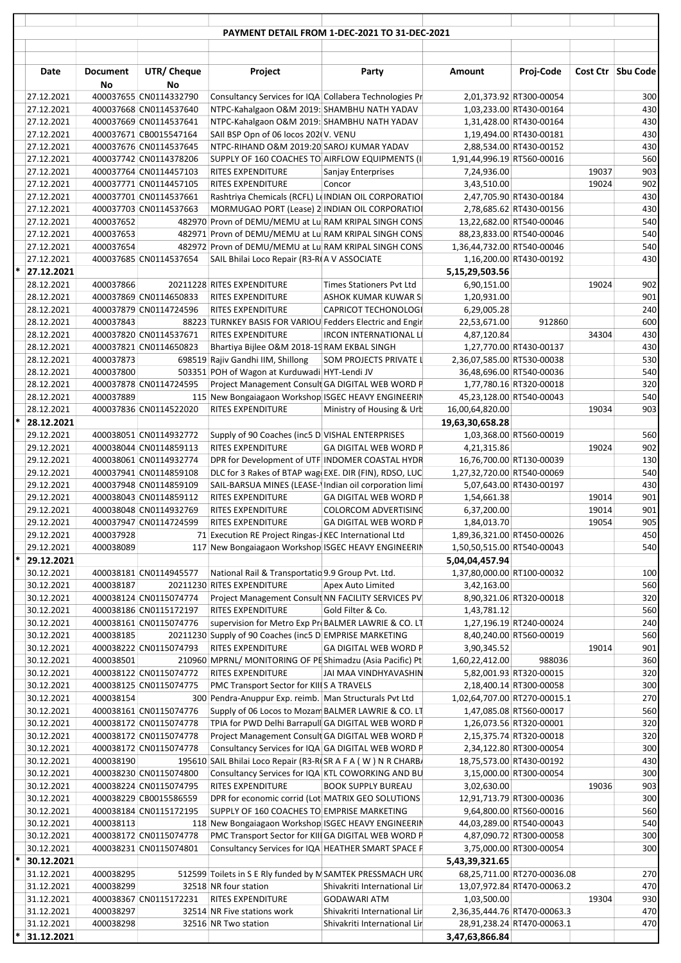|        |                          |                        |                                                  |                                                                                                              | PAYMENT DETAIL FROM 1-DEC-2021 TO 31-DEC-2021                |                                           |                                                            |                |                     |
|--------|--------------------------|------------------------|--------------------------------------------------|--------------------------------------------------------------------------------------------------------------|--------------------------------------------------------------|-------------------------------------------|------------------------------------------------------------|----------------|---------------------|
|        |                          |                        |                                                  |                                                                                                              |                                                              |                                           |                                                            |                |                     |
|        |                          |                        |                                                  |                                                                                                              |                                                              |                                           |                                                            |                |                     |
|        | Date                     | <b>Document</b><br>No  | UTR/ Cheque<br>No                                | Project                                                                                                      | Party                                                        | Amount                                    | Proj-Code                                                  |                | Cost Ctr   Sbu Code |
|        | 27.12.2021               |                        | 400037655 CN0114332790                           | Consultancy Services for IQA Collabera Technologies Pr                                                       |                                                              |                                           | 2,01,373.92 RT300-00054                                    |                | 300                 |
|        | 27.12.2021               |                        | 400037668 CN0114537640                           | NTPC-Kahalgaon O&M 2019: SHAMBHU NATH YADAV                                                                  |                                                              |                                           | 1,03,233.00 RT430-00164                                    |                | 430                 |
|        | 27.12.2021               |                        | 400037669 CN0114537641                           | NTPC-Kahalgaon O&M 2019: SHAMBHU NATH YADAV                                                                  |                                                              |                                           | 1,31,428.00 RT430-00164                                    |                | 430                 |
|        | 27.12.2021               |                        | 400037671 CB0015547164                           | SAII BSP Opn of 06 locos 202(V. VENU                                                                         |                                                              |                                           | 1,19,494.00 RT430-00181                                    |                | 430                 |
|        | 27.12.2021               |                        | 400037676 CN0114537645                           | NTPC-RIHAND O&M 2019:20 SAROJ KUMAR YADAV                                                                    |                                                              |                                           | 2,88,534.00 RT430-00152                                    |                | 430                 |
|        | 27.12.2021<br>27.12.2021 |                        | 400037742 CN0114378206<br>400037764 CN0114457103 | SUPPLY OF 160 COACHES TO AIRFLOW EQUIPMENTS (I)<br>RITES EXPENDITURE                                         | Sanjay Enterprises                                           | 1,91,44,996.19 RT560-00016<br>7,24,936.00 |                                                            | 19037          | 560<br>903          |
|        | 27.12.2021               |                        | 400037771 CN0114457105                           | <b>RITES EXPENDITURE</b>                                                                                     | Concor                                                       | 3,43,510.00                               |                                                            | 19024          | 902                 |
|        | 27.12.2021               |                        | 400037701 CN0114537661                           | Rashtriya Chemicals (RCFL) Le INDIAN OIL CORPORATIOI                                                         |                                                              |                                           | 2,47,705.90 RT430-00184                                    |                | 430                 |
|        | 27.12.2021               |                        | 400037703 CN0114537663                           | MORMUGAO PORT (Lease) 2 INDIAN OIL CORPORATIOI                                                               |                                                              |                                           | 2,78,685.62 RT430-00156                                    |                | 430                 |
|        | 27.12.2021               | 400037652              |                                                  | 482970 Provn of DEMU/MEMU at Lu RAM KRIPAL SINGH CONS                                                        |                                                              |                                           | 13,22,682.00 RT540-00046                                   |                | 540                 |
|        | 27.12.2021               | 400037653              |                                                  | 482971 Provn of DEMU/MEMU at Lu RAM KRIPAL SINGH CONS                                                        |                                                              |                                           | 88,23,833.00 RT540-00046                                   |                | 540                 |
|        | 27.12.2021               | 400037654              |                                                  | 482972 Provn of DEMU/MEMU at Lu RAM KRIPAL SINGH CONS                                                        |                                                              | 1,36,44,732.00 RT540-00046                |                                                            |                | 540                 |
|        | 27.12.2021               |                        | 400037685 CN0114537654                           | SAIL Bhilai Loco Repair (R3-RIA V ASSOCIATE                                                                  |                                                              |                                           | 1,16,200.00 RT430-00192                                    |                | 430                 |
|        | 27.12.2021<br>28.12.2021 | 400037866              |                                                  | 20211228 RITES EXPENDITURE                                                                                   | <b>Times Stationers Pvt Ltd</b>                              | 5,15,29,503.56<br>6,90,151.00             |                                                            | 19024          | 902                 |
|        | 28.12.2021               |                        | 400037869 CN0114650833                           | <b>RITES EXPENDITURE</b>                                                                                     | ASHOK KUMAR KUWAR SI                                         | 1,20,931.00                               |                                                            |                | 901                 |
|        | 28.12.2021               |                        | 400037879 CN0114724596                           | RITES EXPENDITURE                                                                                            | CAPRICOT TECHONOLOGI                                         | 6,29,005.28                               |                                                            |                | 240                 |
|        | 28.12.2021               | 400037843              |                                                  | 88223 TURNKEY BASIS FOR VARIOU Fedders Electric and Engir                                                    |                                                              | 22,53,671.00                              | 912860                                                     |                | 600                 |
|        | 28.12.2021               |                        | 400037820 CN0114537671                           | <b>RITES EXPENDITURE</b>                                                                                     | <b>IRCON INTERNATIONAL LI</b>                                | 4,87,120.84                               |                                                            | 34304          | 430                 |
|        | 28.12.2021               |                        | 400037821 CN0114650823                           | Bhartiya Bijlee O&M 2018-19 RAM EKBAL SINGH                                                                  |                                                              |                                           | 1,27,770.00 RT430-00137                                    |                | 430                 |
|        | 28.12.2021               | 400037873              |                                                  | 698519 Rajiv Gandhi IIM, Shillong                                                                            | SOM PROJECTS PRIVATE L                                       | 2,36,07,585.00 RT530-00038                |                                                            |                | 530                 |
|        | 28.12.2021               | 400037800              |                                                  | 503351 POH of Wagon at Kurduwadi HYT-Lendi JV<br>Project Management Consult GA DIGITAL WEB WORD P            |                                                              |                                           | 36,48,696.00 RT540-00036                                   |                | 540                 |
|        | 28.12.2021<br>28.12.2021 | 400037889              | 400037878 CN0114724595                           | 115 New Bongaiagaon Workshop ISGEC HEAVY ENGINEERIN                                                          |                                                              |                                           | 1,77,780.16 RT320-00018<br>45,23,128.00 RT540-00043        |                | 320<br>540          |
|        | 28.12.2021               |                        | 400037836 CN0114522020                           | <b>RITES EXPENDITURE</b>                                                                                     | Ministry of Housing & Urb                                    | 16,00,64,820.00                           |                                                            | 19034          | 903                 |
| *      | 28.12.2021               |                        |                                                  |                                                                                                              |                                                              | 19,63,30,658.28                           |                                                            |                |                     |
|        | 29.12.2021               |                        | 400038051 CN0114932772                           | Supply of 90 Coaches (inc5 D VISHAL ENTERPRISES                                                              |                                                              |                                           | 1,03,368.00 RT560-00019                                    |                | 560                 |
|        | 29.12.2021               |                        | 400038044 CN0114859113                           | <b>RITES EXPENDITURE</b>                                                                                     | <b>GA DIGITAL WEB WORD P</b>                                 | 4,21,315.86                               |                                                            | 19024          | 902                 |
|        | 29.12.2021               |                        | 400038061 CN0114932774                           | DPR for Development of UTF INDOMER COASTAL HYDR                                                              |                                                              |                                           | 16,76,700.00 RT130-00039                                   |                | 130                 |
|        | 29.12.2021               |                        | 400037941 CN0114859108                           | DLC for 3 Rakes of BTAP wag EXE. DIR (FIN), RDSO, LUC                                                        |                                                              | 1,27,32,720.00 RT540-00069                |                                                            |                | 540                 |
|        | 29.12.2021               |                        | 400037948 CN0114859109                           | SAIL-BARSUA MINES (LEASE- Indian oil corporation limi                                                        |                                                              |                                           | 5,07,643.00 RT430-00197                                    |                | 430                 |
|        | 29.12.2021<br>29.12.2021 |                        | 400038043 CN0114859112<br>400038048 CN0114932769 | <b>RITES EXPENDITURE</b><br><b>RITES EXPENDITURE</b>                                                         | <b>GA DIGITAL WEB WORD P</b><br><b>COLORCOM ADVERTISING</b>  | 1,54,661.38<br>6,37,200.00                |                                                            | 19014<br>19014 | 901<br>901          |
|        | 29.12.2021               |                        | 400037947 CN0114724599                           | <b>RITES EXPENDITURE</b>                                                                                     | <b>GA DIGITAL WEB WORD P</b>                                 | 1,84,013.70                               |                                                            | 19054          | 905                 |
|        | 29.12.2021               | 400037928              |                                                  | 71 Execution RE Project Ringas-J KEC International Ltd                                                       |                                                              | 1,89,36,321.00 RT450-00026                |                                                            |                | 450                 |
|        | 29.12.2021               | 400038089              |                                                  | 117 New Bongaiagaon Workshop ISGEC HEAVY ENGINEERIN                                                          |                                                              | 1,50,50,515.00 RT540-00043                |                                                            |                | 540                 |
| $\ast$ | 29.12.2021               |                        |                                                  |                                                                                                              |                                                              | 5,04,04,457.94                            |                                                            |                |                     |
|        | 30.12.2021               |                        | 400038181 CN0114945577                           | National Rail & Transportatio 9.9 Group Pvt. Ltd.                                                            |                                                              | 1,37,80,000.00 RT100-00032                |                                                            |                | 100                 |
|        | 30.12.2021               | 400038187              |                                                  | 20211230 RITES EXPENDITURE                                                                                   | Apex Auto Limited                                            | 3,42,163.00                               |                                                            |                | 560                 |
|        | 30.12.2021<br>30.12.2021 |                        | 400038124 CN0115074774<br>400038186 CN0115172197 | Project Management Consult NN FACILITY SERVICES PV<br>RITES EXPENDITURE                                      | Gold Filter & Co.                                            | 1,43,781.12                               | 8,90,321.06 RT320-00018                                    |                | 320<br>560          |
|        | 30.12.2021               |                        | 400038161 CN0115074776                           | supervision for Metro Exp Pr BALMER LAWRIE & CO. LT                                                          |                                                              |                                           | 1,27,196.19 RT240-00024                                    |                | 240                 |
|        | 30.12.2021               | 400038185              |                                                  | 20211230 Supply of 90 Coaches (inc5 D EMPRISE MARKETING                                                      |                                                              |                                           | 8,40,240.00 RT560-00019                                    |                | 560                 |
|        | 30.12.2021               |                        | 400038222 CN0115074793                           | RITES EXPENDITURE                                                                                            | <b>GA DIGITAL WEB WORD P</b>                                 | 3,90,345.52                               |                                                            | 19014          | 901                 |
|        | 30.12.2021               | 400038501              |                                                  | 210960 MPRNL/ MONITORING OF PE Shimadzu (Asia Pacific) Pt                                                    |                                                              | 1,60,22,412.00                            | 988036                                                     |                | 360                 |
|        | 30.12.2021               |                        | 400038122 CN0115074772                           | RITES EXPENDITURE                                                                                            | JAI MAA VINDHYAVASHIN                                        |                                           | 5,82,001.93 RT320-00015                                    |                | 320                 |
|        | 30.12.2021               |                        | 400038125 CN0115074775                           | PMC Transport Sector for KIIIS A TRAVELS                                                                     |                                                              |                                           | 2,18,400.14 RT300-00058                                    |                | 300                 |
|        | 30.12.2021               | 400038154              |                                                  | 300 Pendra-Anuppur Exp. reimb. Man Structurals Pvt Ltd<br>Supply of 06 Locos to Mozam BALMER LAWRIE & CO. LT |                                                              |                                           | 1,02,64,707.00 RT270-00015.1                               |                | 270<br>560          |
|        | 30.12.2021<br>30.12.2021 |                        | 400038161 CN0115074776<br>400038172 CN0115074778 | TPIA for PWD Delhi Barrapull GA DIGITAL WEB WORD P                                                           |                                                              |                                           | 1,47,085.08 RT560-00017<br>1,26,073.56 RT320-00001         |                | 320                 |
|        | 30.12.2021               |                        | 400038172 CN0115074778                           | Project Management Consult GA DIGITAL WEB WORD P                                                             |                                                              |                                           | 2,15,375.74 RT320-00018                                    |                | 320                 |
|        | 30.12.2021               |                        | 400038172 CN0115074778                           | Consultancy Services for IQA GA DIGITAL WEB WORD P                                                           |                                                              |                                           | 2,34,122.80 RT300-00054                                    |                | 300                 |
|        | 30.12.2021               | 400038190              |                                                  | 195610 SAIL Bhilai Loco Repair (R3-R(SR A F A (W) N R CHARB/                                                 |                                                              |                                           | 18,75,573.00 RT430-00192                                   |                | 430                 |
|        | 30.12.2021               |                        | 400038230 CN0115074800                           | Consultancy Services for IQA KTL COWORKING AND BU                                                            |                                                              |                                           | 3,15,000.00 RT300-00054                                    |                | 300                 |
|        | 30.12.2021               |                        | 400038224 CN0115074795                           | RITES EXPENDITURE                                                                                            | <b>BOOK SUPPLY BUREAU</b>                                    | 3,02,630.00                               |                                                            | 19036          | 903                 |
|        | 30.12.2021               |                        | 400038229 CB0015586559                           | DPR for economic corrid (Lot MATRIX GEO SOLUTIONS                                                            |                                                              |                                           | 12,91,713.79 RT300-00036                                   |                | 300                 |
|        | 30.12.2021<br>30.12.2021 | 400038113              | 400038184 CN0115172195                           | SUPPLY OF 160 COACHES TO EMPRISE MARKETING<br>118 New Bongaiagaon Workshop ISGEC HEAVY ENGINEERIN            |                                                              |                                           | 9,64,800.00 RT560-00016<br>44,03,289.00 RT540-00043        |                | 560<br>540          |
|        | 30.12.2021               |                        | 400038172 CN0115074778                           | PMC Transport Sector for KIII GA DIGITAL WEB WORD P                                                          |                                                              |                                           | 4,87,090.72 RT300-00058                                    |                | 300                 |
|        | 30.12.2021               |                        | 400038231 CN0115074801                           | Consultancy Services for IQA HEATHER SMART SPACE F                                                           |                                                              |                                           | 3,75,000.00 RT300-00054                                    |                | 300                 |
| *      | 30.12.2021               |                        |                                                  |                                                                                                              |                                                              | 5,43,39,321.65                            |                                                            |                |                     |
|        | 31.12.2021               | 400038295              |                                                  | 512599 Toilets in S E Rly funded by M SAMTEK PRESSMACH URC                                                   |                                                              |                                           | 68,25,711.00 RT270-00036.08                                |                | 270                 |
|        | 31.12.2021               | 400038299              |                                                  | 32518 NR four station                                                                                        | Shivakriti International Lir                                 |                                           | 13,07,972.84 RT470-00063.2                                 |                | 470                 |
|        | 31.12.2021               |                        | 400038367 CN0115172231                           | RITES EXPENDITURE                                                                                            | <b>GODAWARI ATM</b>                                          | 1,03,500.00                               |                                                            | 19304          | 930                 |
|        | 31.12.2021<br>31.12.2021 | 400038297<br>400038298 |                                                  | 32514 NR Five stations work<br>32516 NR Two station                                                          | Shivakriti International Lir<br>Shivakriti International Lir |                                           | 2,36,35,444.76 RT470-00063.3<br>28,91,238.24 RT470-00063.1 |                | 470<br>470          |
|        | 31.12.2021               |                        |                                                  |                                                                                                              |                                                              | 3,47,63,866.84                            |                                                            |                |                     |
|        |                          |                        |                                                  |                                                                                                              |                                                              |                                           |                                                            |                |                     |